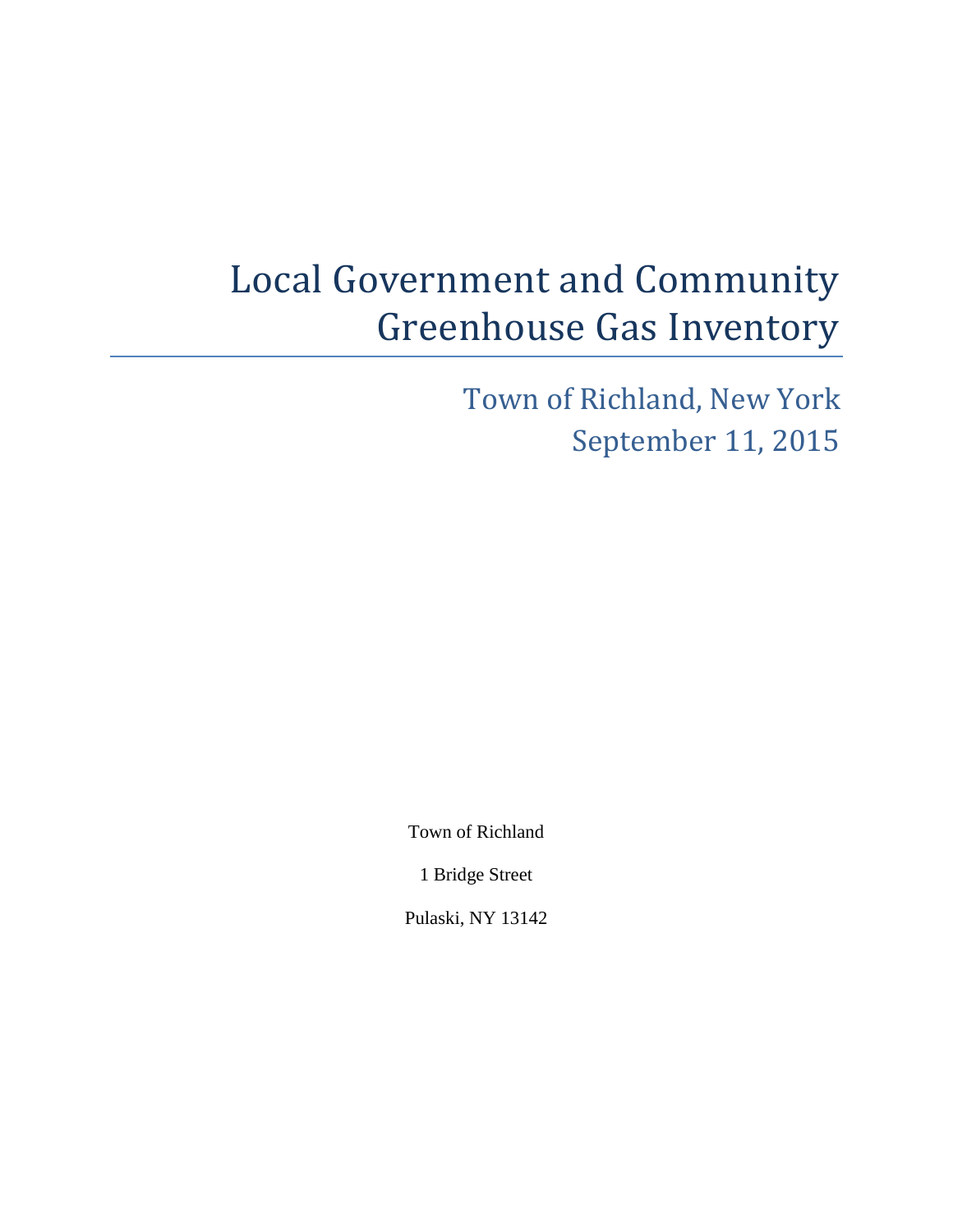# Local Government and Community Greenhouse Gas Inventory

Town of Richland, New York September 11, 2015

Town of Richland

1 Bridge Street

Pulaski, NY 13142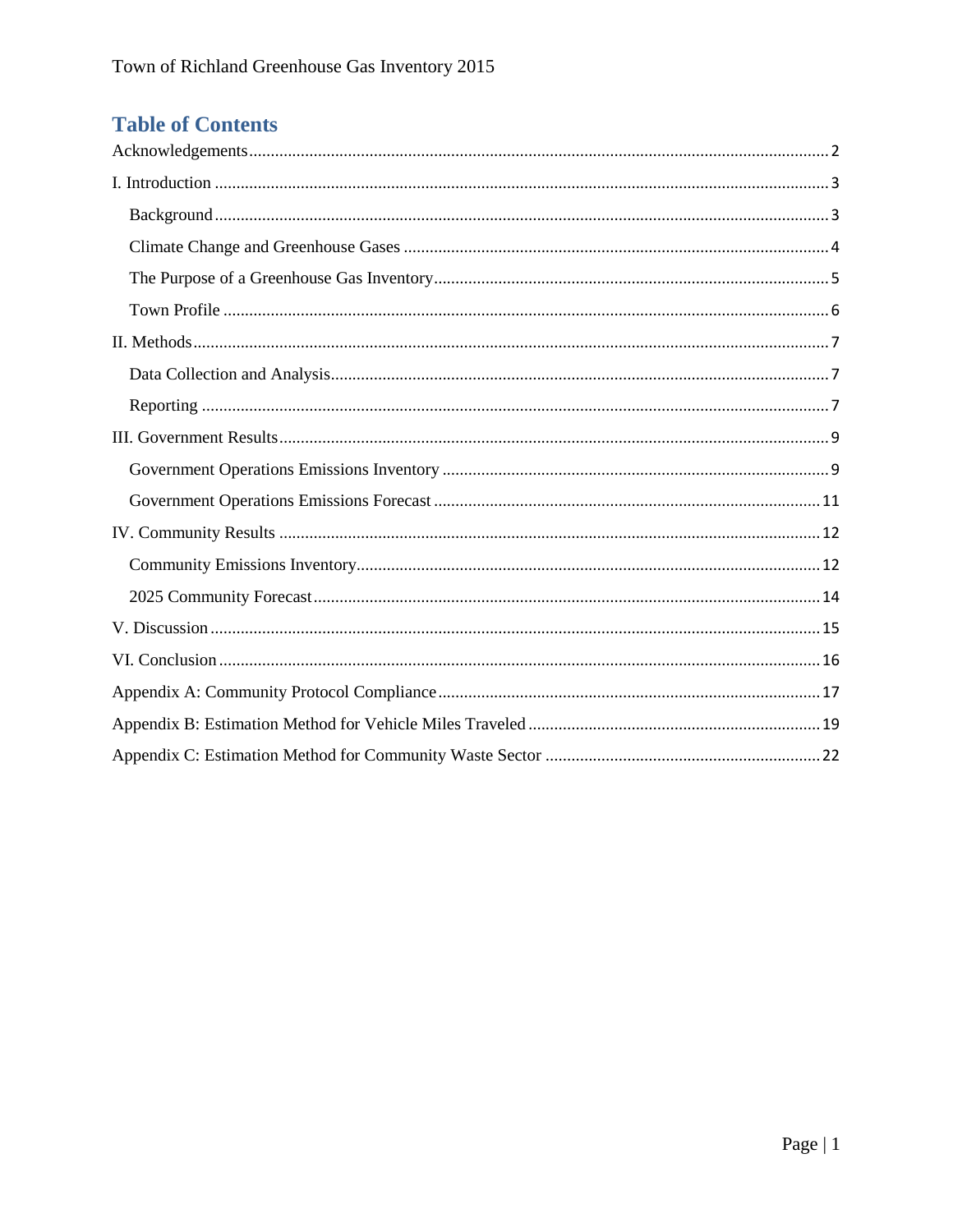## **Table of Contents**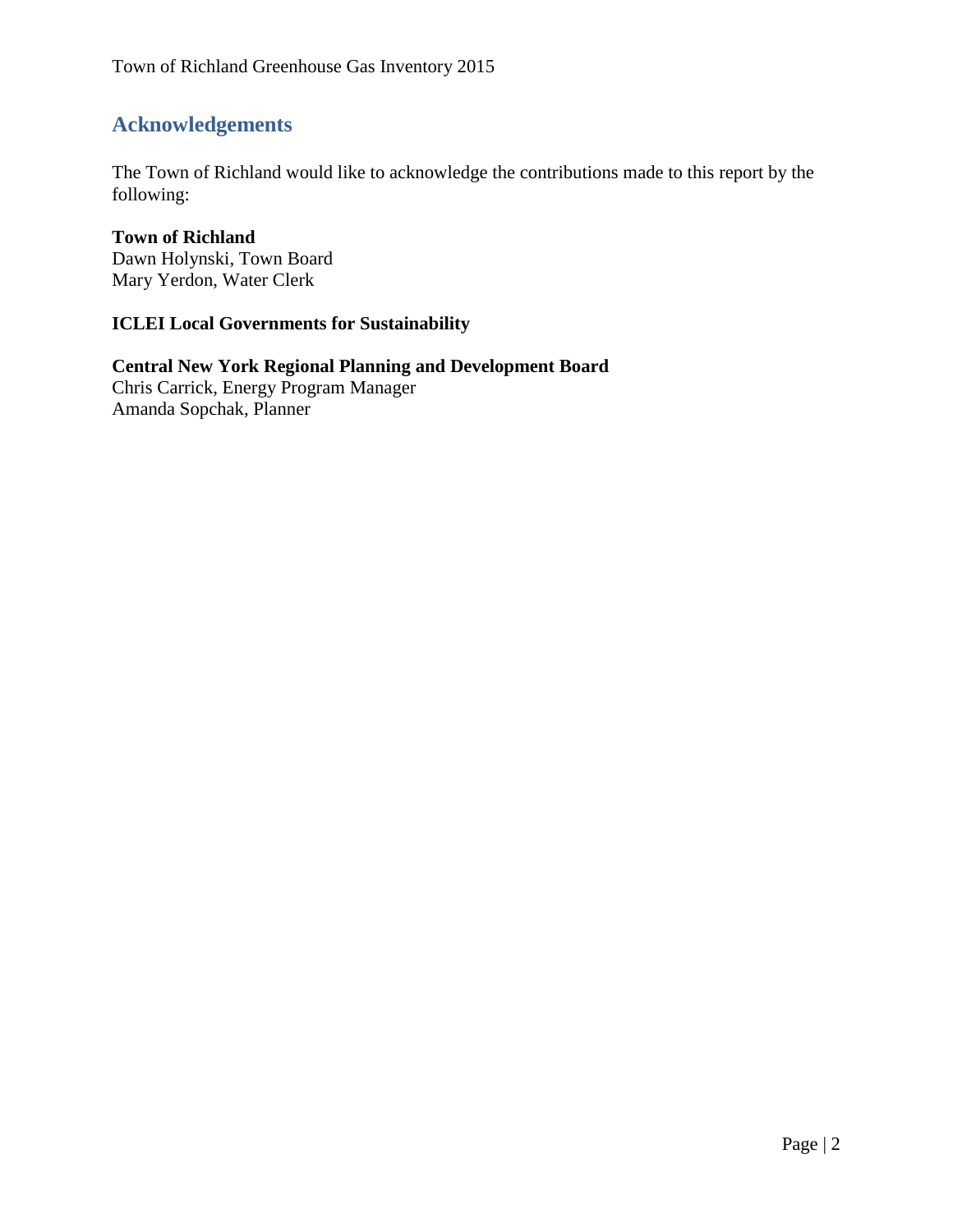## <span id="page-2-0"></span>**Acknowledgements**

The Town of Richland would like to acknowledge the contributions made to this report by the following:

#### **Town of Richland** Dawn Holynski, Town Board Mary Yerdon, Water Clerk

#### **ICLEI Local Governments for Sustainability**

#### **Central New York Regional Planning and Development Board** Chris Carrick, Energy Program Manager Amanda Sopchak, Planner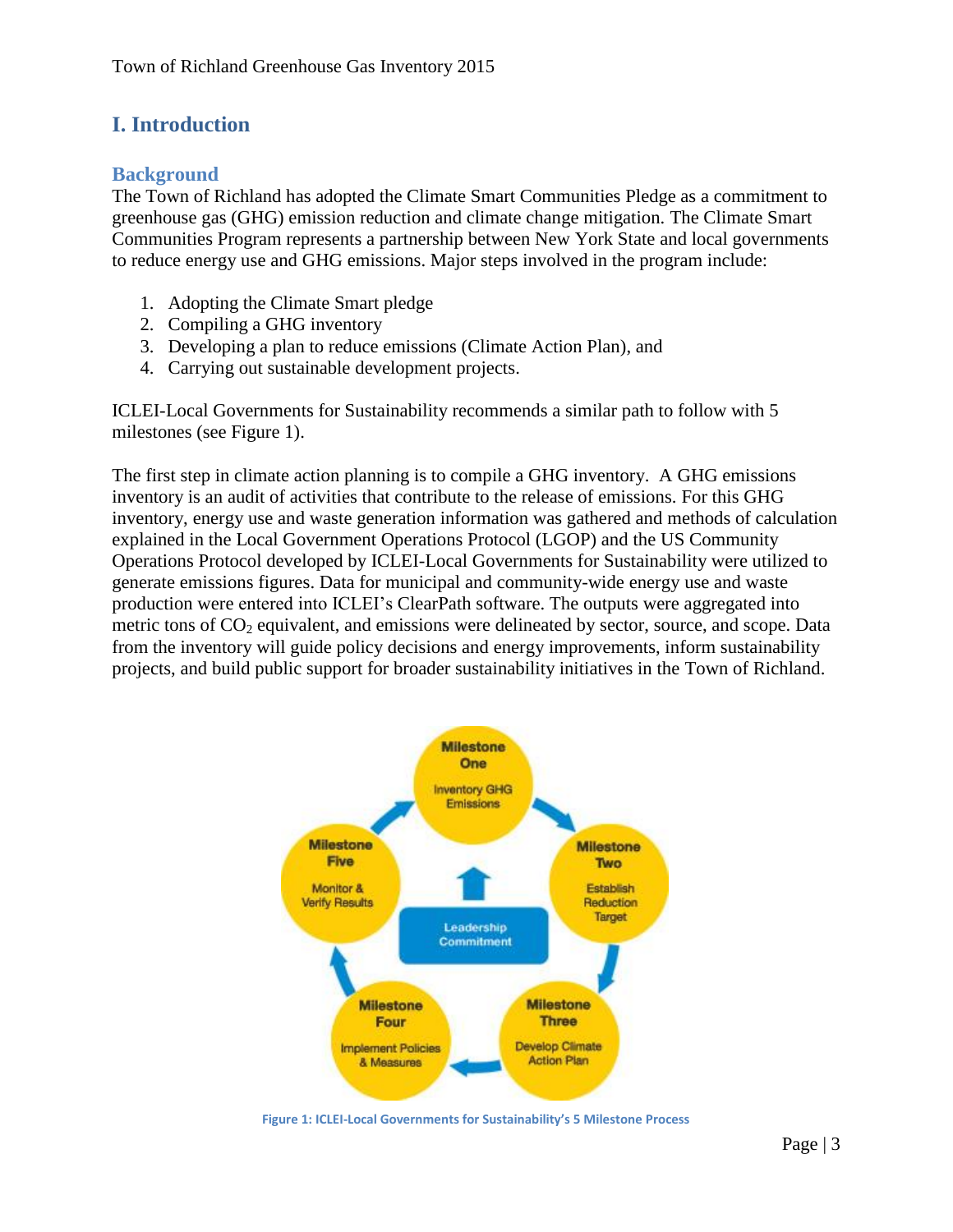## <span id="page-3-0"></span>**I. Introduction**

#### <span id="page-3-1"></span>**Background**

The Town of Richland has adopted the Climate Smart Communities Pledge as a commitment to greenhouse gas (GHG) emission reduction and climate change mitigation. The Climate Smart Communities Program represents a partnership between New York State and local governments to reduce energy use and GHG emissions. Major steps involved in the program include:

- 1. Adopting the Climate Smart pledge
- 2. Compiling a GHG inventory
- 3. Developing a plan to reduce emissions (Climate Action Plan), and
- 4. Carrying out sustainable development projects.

ICLEI-Local Governments for Sustainability recommends a similar path to follow with 5 milestones (see Figure 1).

The first step in climate action planning is to compile a GHG inventory. A GHG emissions inventory is an audit of activities that contribute to the release of emissions. For this GHG inventory, energy use and waste generation information was gathered and methods of calculation explained in the Local Government Operations Protocol (LGOP) and the US Community Operations Protocol developed by ICLEI-Local Governments for Sustainability were utilized to generate emissions figures. Data for municipal and community-wide energy use and waste production were entered into ICLEI's ClearPath software. The outputs were aggregated into metric tons of  $CO<sub>2</sub>$  equivalent, and emissions were delineated by sector, source, and scope. Data from the inventory will guide policy decisions and energy improvements, inform sustainability projects, and build public support for broader sustainability initiatives in the Town of Richland.



**Figure 1: ICLEI-Local Governments for Sustainability's 5 Milestone Process**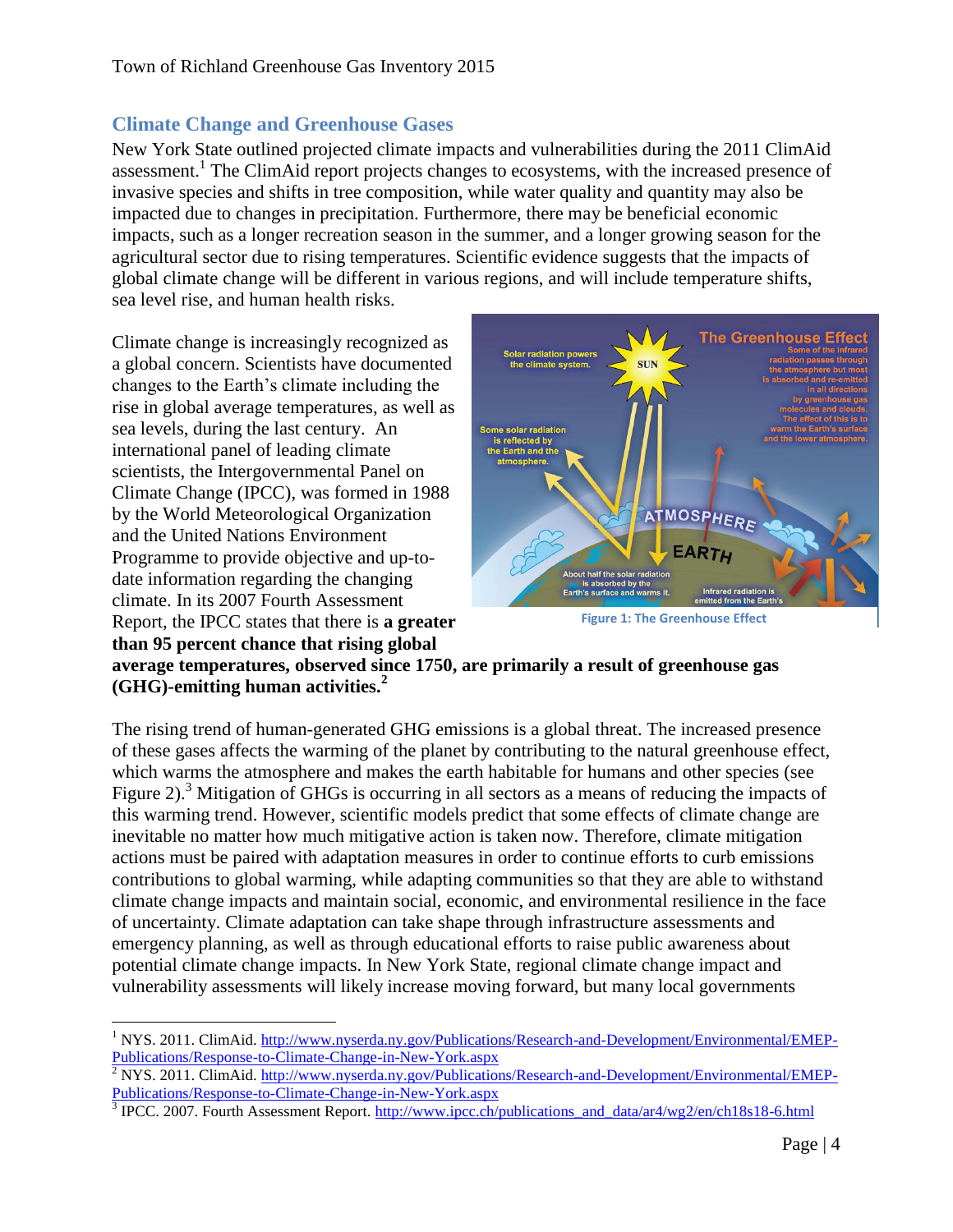## <span id="page-4-0"></span>**Climate Change and Greenhouse Gases**

New York State outlined projected climate impacts and vulnerabilities during the 2011 ClimAid assessment.<sup>1</sup> The ClimAid report projects changes to ecosystems, with the increased presence of invasive species and shifts in tree composition, while water quality and quantity may also be impacted due to changes in precipitation. Furthermore, there may be beneficial economic impacts, such as a longer recreation season in the summer, and a longer growing season for the agricultural sector due to rising temperatures. Scientific evidence suggests that the impacts of global climate change will be different in various regions, and will include temperature shifts, sea level rise, and human health risks.

Climate change is increasingly recognized as a global concern. Scientists have documented changes to the Earth's climate including the rise in global average temperatures, as well as sea levels, during the last century. An international panel of leading climate scientists, the Intergovernmental Panel on Climate Change (IPCC), was formed in 1988 by the World Meteorological Organization and the United Nations Environment Programme to provide objective and up-todate information regarding the changing climate. In its 2007 Fourth Assessment Report, the IPCC states that there is **a greater than 95 percent chance that rising global** 



**Figure 1: The Greenhouse Effect**

**average temperatures, observed since 1750, are primarily a result of greenhouse gas (GHG)-emitting human activities.<sup>2</sup>**

The rising trend of human-generated GHG emissions is a global threat. The increased presence of these gases affects the warming of the planet by contributing to the natural greenhouse effect, which warms the atmosphere and makes the earth habitable for humans and other species (see Figure 2).<sup>3</sup> Mitigation of GHGs is occurring in all sectors as a means of reducing the impacts of this warming trend. However, scientific models predict that some effects of climate change are inevitable no matter how much mitigative action is taken now. Therefore, climate mitigation actions must be paired with adaptation measures in order to continue efforts to curb emissions contributions to global warming, while adapting communities so that they are able to withstand climate change impacts and maintain social, economic, and environmental resilience in the face of uncertainty. Climate adaptation can take shape through infrastructure assessments and emergency planning, as well as through educational efforts to raise public awareness about potential climate change impacts. In New York State, regional climate change impact and vulnerability assessments will likely increase moving forward, but many local governments

 $\overline{a}$ <sup>1</sup> NYS. 2011. ClimAid. [http://www.nyserda.ny.gov/Publications/Research-and-Development/Environmental/EMEP-](http://www.nyserda.ny.gov/Publications/Research-and-Development/Environmental/EMEP-Publications/Response-to-Climate-Change-in-New-York.aspx)[Publications/Response-to-Climate-Change-in-New-York.aspx](http://www.nyserda.ny.gov/Publications/Research-and-Development/Environmental/EMEP-Publications/Response-to-Climate-Change-in-New-York.aspx)

 $\frac{2}{3}$  NYS. 2011. ClimAid. [http://www.nyserda.ny.gov/Publications/Research-and-Development/Environmental/EMEP-](http://www.nyserda.ny.gov/Publications/Research-and-Development/Environmental/EMEP-Publications/Response-to-Climate-Change-in-New-York.aspx)[Publications/Response-to-Climate-Change-in-New-York.aspx](http://www.nyserda.ny.gov/Publications/Research-and-Development/Environmental/EMEP-Publications/Response-to-Climate-Change-in-New-York.aspx)

<sup>&</sup>lt;sup>3</sup> IPCC. 2007. Fourth Assessment Report. [http://www.ipcc.ch/publications\\_and\\_data/ar4/wg2/en/ch18s18-6.html](http://www.ipcc.ch/publications_and_data/ar4/wg2/en/ch18s18-6.html)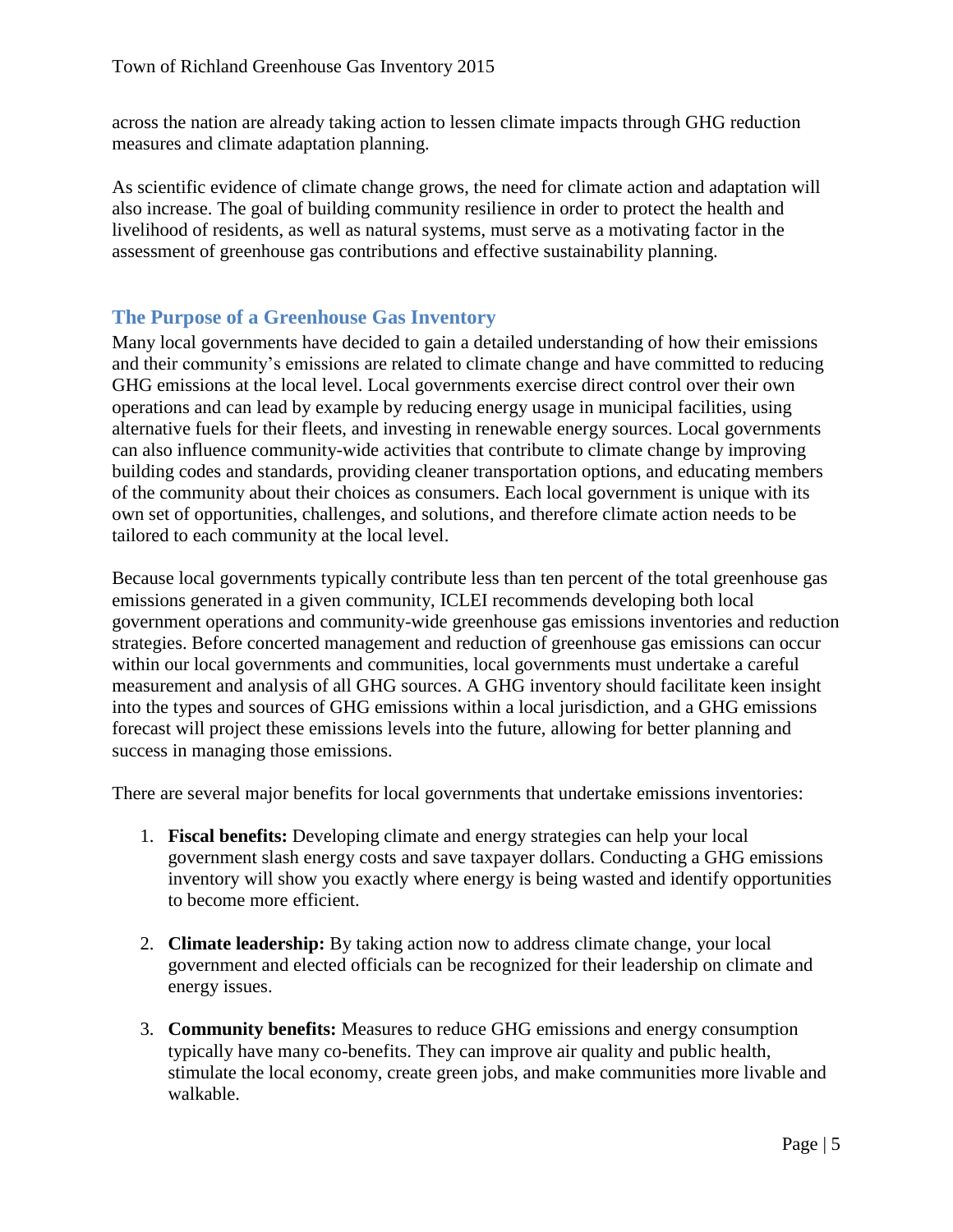across the nation are already taking action to lessen climate impacts through GHG reduction measures and climate adaptation planning.

As scientific evidence of climate change grows, the need for climate action and adaptation will also increase. The goal of building community resilience in order to protect the health and livelihood of residents, as well as natural systems, must serve as a motivating factor in the assessment of greenhouse gas contributions and effective sustainability planning.

### <span id="page-5-0"></span>**The Purpose of a Greenhouse Gas Inventory**

Many local governments have decided to gain a detailed understanding of how their emissions and their community's emissions are related to climate change and have committed to reducing GHG emissions at the local level. Local governments exercise direct control over their own operations and can lead by example by reducing energy usage in municipal facilities, using alternative fuels for their fleets, and investing in renewable energy sources. Local governments can also influence community-wide activities that contribute to climate change by improving building codes and standards, providing cleaner transportation options, and educating members of the community about their choices as consumers. Each local government is unique with its own set of opportunities, challenges, and solutions, and therefore climate action needs to be tailored to each community at the local level.

Because local governments typically contribute less than ten percent of the total greenhouse gas emissions generated in a given community, ICLEI recommends developing both local government operations and community-wide greenhouse gas emissions inventories and reduction strategies. Before concerted management and reduction of greenhouse gas emissions can occur within our local governments and communities, local governments must undertake a careful measurement and analysis of all GHG sources. A GHG inventory should facilitate keen insight into the types and sources of GHG emissions within a local jurisdiction, and a GHG emissions forecast will project these emissions levels into the future, allowing for better planning and success in managing those emissions.

There are several major benefits for local governments that undertake emissions inventories:

- 1. **Fiscal benefits:** Developing climate and energy strategies can help your local government slash energy costs and save taxpayer dollars. Conducting a GHG emissions inventory will show you exactly where energy is being wasted and identify opportunities to become more efficient.
- 2. **Climate leadership:** By taking action now to address climate change, your local government and elected officials can be recognized for their leadership on climate and energy issues.
- 3. **Community benefits:** Measures to reduce GHG emissions and energy consumption typically have many co-benefits. They can improve air quality and public health, stimulate the local economy, create green jobs, and make communities more livable and walkable.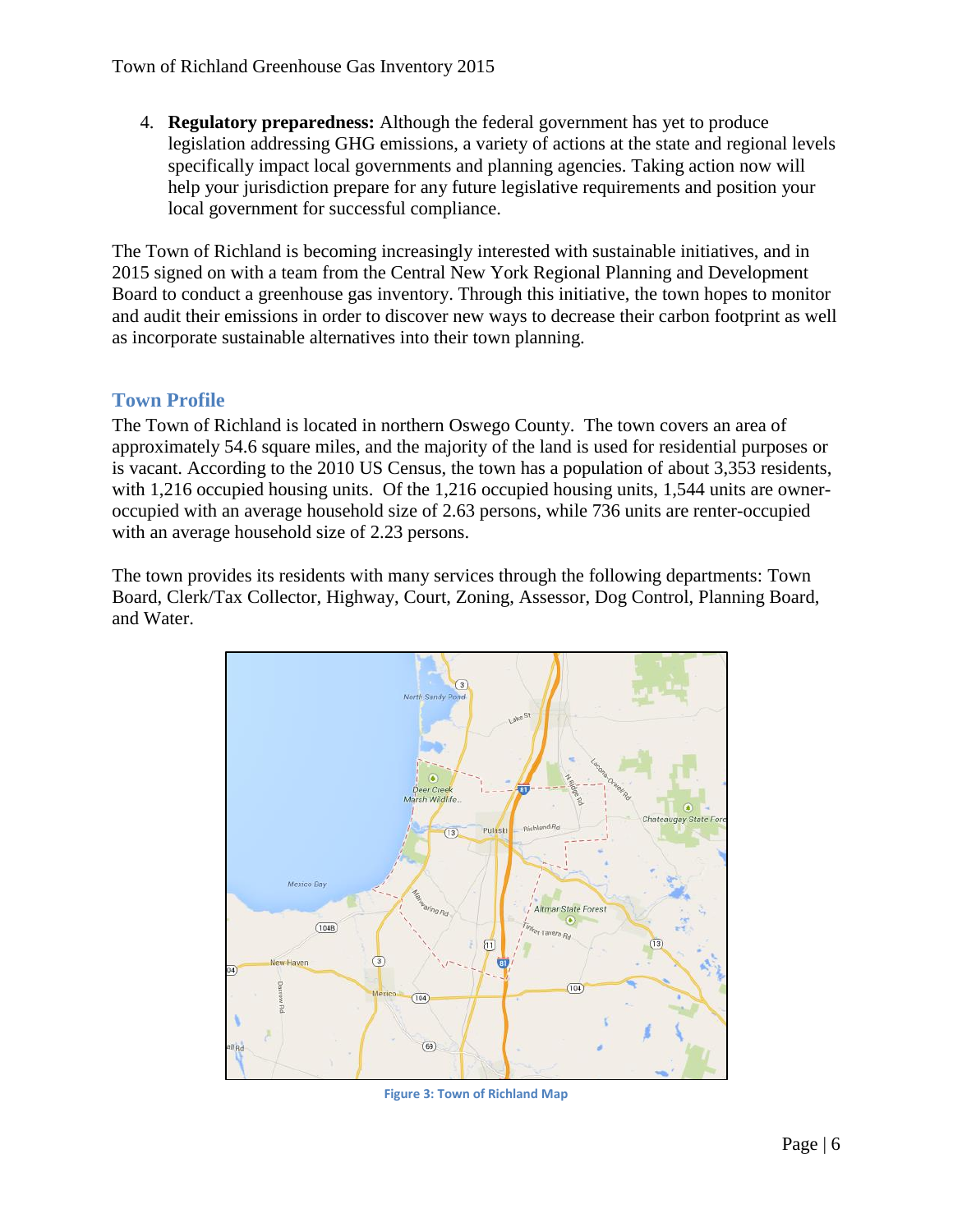4. **Regulatory preparedness:** Although the federal government has yet to produce legislation addressing GHG emissions, a variety of actions at the state and regional levels specifically impact local governments and planning agencies. Taking action now will help your jurisdiction prepare for any future legislative requirements and position your local government for successful compliance.

The Town of Richland is becoming increasingly interested with sustainable initiatives, and in 2015 signed on with a team from the Central New York Regional Planning and Development Board to conduct a greenhouse gas inventory. Through this initiative, the town hopes to monitor and audit their emissions in order to discover new ways to decrease their carbon footprint as well as incorporate sustainable alternatives into their town planning.

#### <span id="page-6-0"></span>**Town Profile**

The Town of Richland is located in northern Oswego County. The town covers an area of approximately 54.6 square miles, and the majority of the land is used for residential purposes or is vacant. According to the 2010 US Census, the town has a population of about 3,353 residents, with 1,216 occupied housing units. Of the 1,216 occupied housing units, 1,544 units are owneroccupied with an average household size of 2.63 persons, while 736 units are renter-occupied with an average household size of 2.23 persons.

The town provides its residents with many services through the following departments: Town Board, Clerk/Tax Collector, Highway, Court, Zoning, Assessor, Dog Control, Planning Board, and Water.



**Figure 3: Town of Richland Map**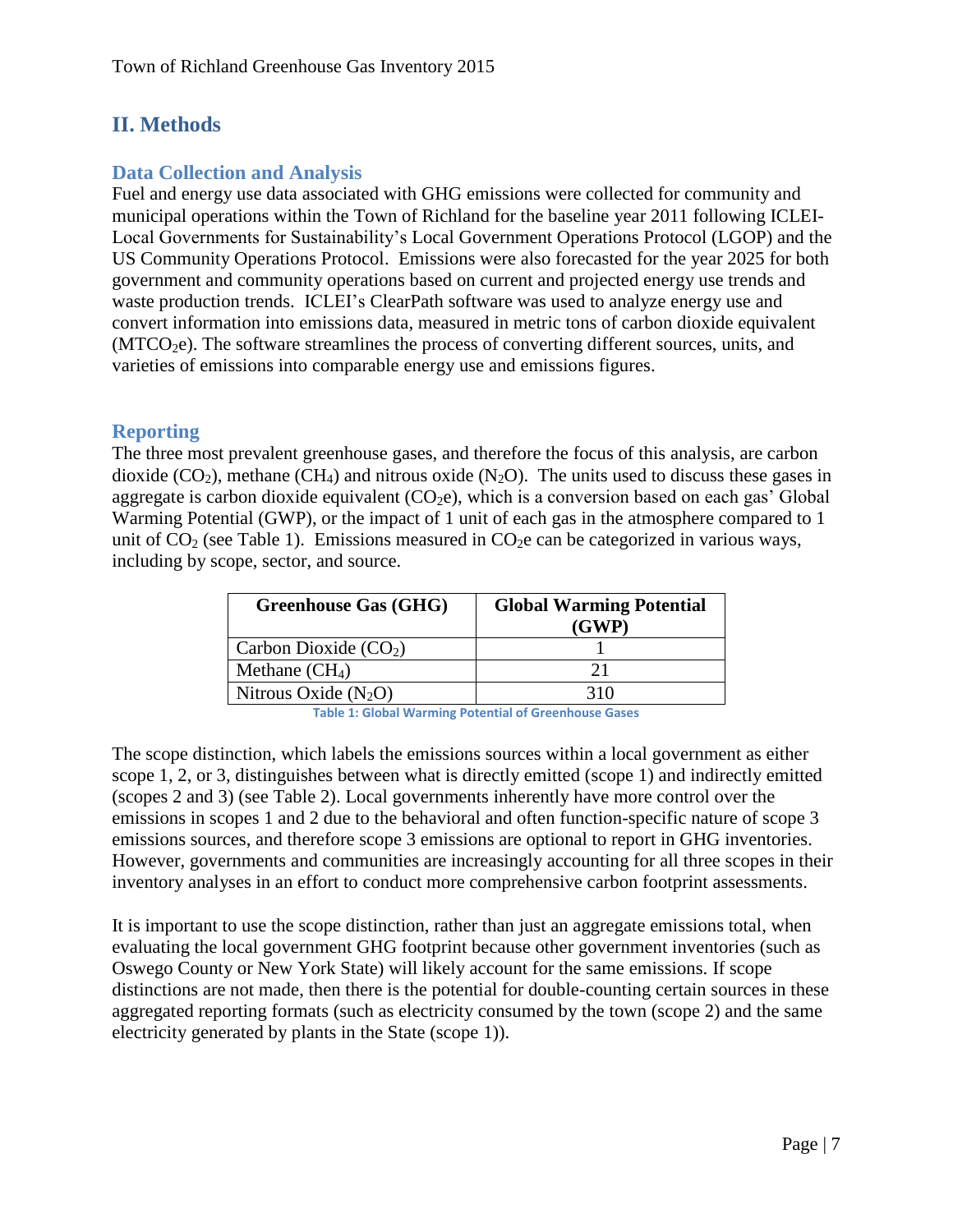## <span id="page-7-0"></span>**II. Methods**

## <span id="page-7-1"></span>**Data Collection and Analysis**

Fuel and energy use data associated with GHG emissions were collected for community and municipal operations within the Town of Richland for the baseline year 2011 following ICLEI-Local Governments for Sustainability's Local Government Operations Protocol (LGOP) and the US Community Operations Protocol. Emissions were also forecasted for the year 2025 for both government and community operations based on current and projected energy use trends and waste production trends. ICLEI's ClearPath software was used to analyze energy use and convert information into emissions data, measured in metric tons of carbon dioxide equivalent  $(MTCO<sub>2</sub>e)$ . The software streamlines the process of converting different sources, units, and varieties of emissions into comparable energy use and emissions figures.

#### <span id="page-7-2"></span>**Reporting**

The three most prevalent greenhouse gases, and therefore the focus of this analysis, are carbon dioxide  $(CO_2)$ , methane  $(CH_4)$  and nitrous oxide  $(N_2O)$ . The units used to discuss these gases in aggregate is carbon dioxide equivalent  $(CO<sub>2</sub>e)$ , which is a conversion based on each gas' Global Warming Potential (GWP), or the impact of 1 unit of each gas in the atmosphere compared to 1 unit of  $CO<sub>2</sub>$  (see Table 1). Emissions measured in  $CO<sub>2</sub>e$  can be categorized in various ways, including by scope, sector, and source.

| <b>Greenhouse Gas (GHG)</b> | <b>Global Warming Potential</b><br>(GWP) |
|-----------------------------|------------------------------------------|
| Carbon Dioxide $(CO2)$      |                                          |
| Methane $(CH_4)$            | 21                                       |
| Nitrous Oxide $(N_2O)$      | 310                                      |

**Table 1: Global Warming Potential of Greenhouse Gases**

The scope distinction, which labels the emissions sources within a local government as either scope 1, 2, or 3, distinguishes between what is directly emitted (scope 1) and indirectly emitted (scopes 2 and 3) (see Table 2). Local governments inherently have more control over the emissions in scopes 1 and 2 due to the behavioral and often function-specific nature of scope 3 emissions sources, and therefore scope 3 emissions are optional to report in GHG inventories. However, governments and communities are increasingly accounting for all three scopes in their inventory analyses in an effort to conduct more comprehensive carbon footprint assessments.

It is important to use the scope distinction, rather than just an aggregate emissions total, when evaluating the local government GHG footprint because other government inventories (such as Oswego County or New York State) will likely account for the same emissions. If scope distinctions are not made, then there is the potential for double-counting certain sources in these aggregated reporting formats (such as electricity consumed by the town (scope 2) and the same electricity generated by plants in the State (scope 1)).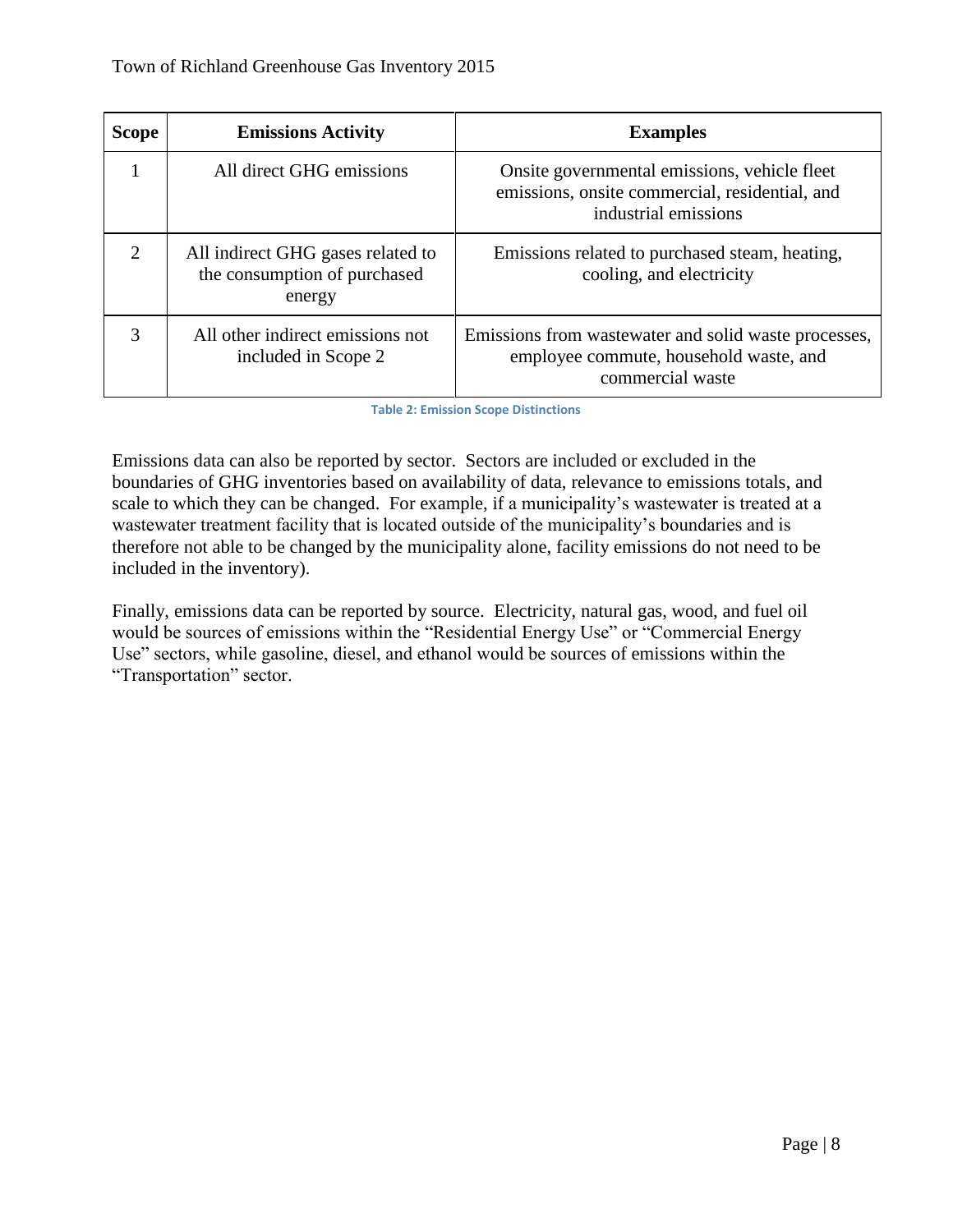| <b>Scope</b>                | <b>Emissions Activity</b>                                                   | <b>Examples</b>                                                                                                        |
|-----------------------------|-----------------------------------------------------------------------------|------------------------------------------------------------------------------------------------------------------------|
|                             | All direct GHG emissions                                                    | Onsite governmental emissions, vehicle fleet<br>emissions, onsite commercial, residential, and<br>industrial emissions |
| $\mathcal{D}_{\mathcal{L}}$ | All indirect GHG gases related to<br>the consumption of purchased<br>energy | Emissions related to purchased steam, heating,<br>cooling, and electricity                                             |
|                             | All other indirect emissions not<br>included in Scope 2                     | Emissions from was tewater and solid was te processes,<br>employee commute, household waste, and<br>commercial waste   |

**Table 2: Emission Scope Distinctions**

Emissions data can also be reported by sector. Sectors are included or excluded in the boundaries of GHG inventories based on availability of data, relevance to emissions totals, and scale to which they can be changed. For example, if a municipality's wastewater is treated at a wastewater treatment facility that is located outside of the municipality's boundaries and is therefore not able to be changed by the municipality alone, facility emissions do not need to be included in the inventory).

Finally, emissions data can be reported by source. Electricity, natural gas, wood, and fuel oil would be sources of emissions within the "Residential Energy Use" or "Commercial Energy Use" sectors, while gasoline, diesel, and ethanol would be sources of emissions within the "Transportation" sector.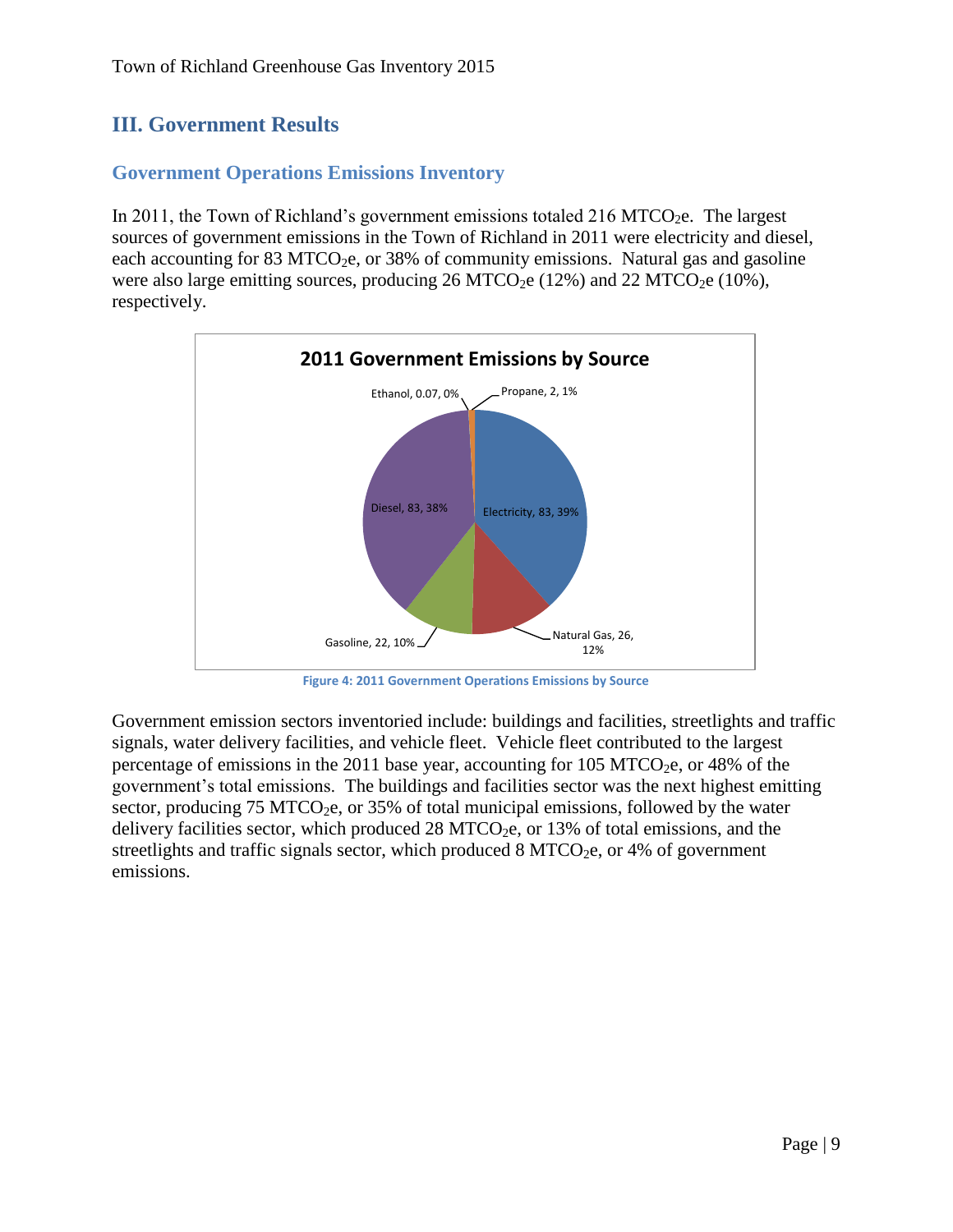## <span id="page-9-0"></span>**III. Government Results**

## <span id="page-9-1"></span>**Government Operations Emissions Inventory**

In 2011, the Town of Richland's government emissions totaled 216 MTCO<sub>2</sub>e. The largest sources of government emissions in the Town of Richland in 2011 were electricity and diesel, each accounting for 83 MTCO<sub>2</sub>e, or 38% of community emissions. Natural gas and gasoline were also large emitting sources, producing  $26 \text{ MTCO}_2$ e (12%) and  $22 \text{ MTCO}_2$ e (10%), respectively.



**Figure 4: 2011 Government Operations Emissions by Source**

Government emission sectors inventoried include: buildings and facilities, streetlights and traffic signals, water delivery facilities, and vehicle fleet. Vehicle fleet contributed to the largest percentage of emissions in the 2011 base year, accounting for 105 MTCO<sub>2</sub>e, or 48% of the government's total emissions. The buildings and facilities sector was the next highest emitting sector, producing 75 MTCO<sub>2</sub>e, or 35% of total municipal emissions, followed by the water delivery facilities sector, which produced  $28 \text{ MTCO}_2$ e, or  $13\%$  of total emissions, and the streetlights and traffic signals sector, which produced  $8 MTCO<sub>2</sub>e$ , or 4% of government emissions.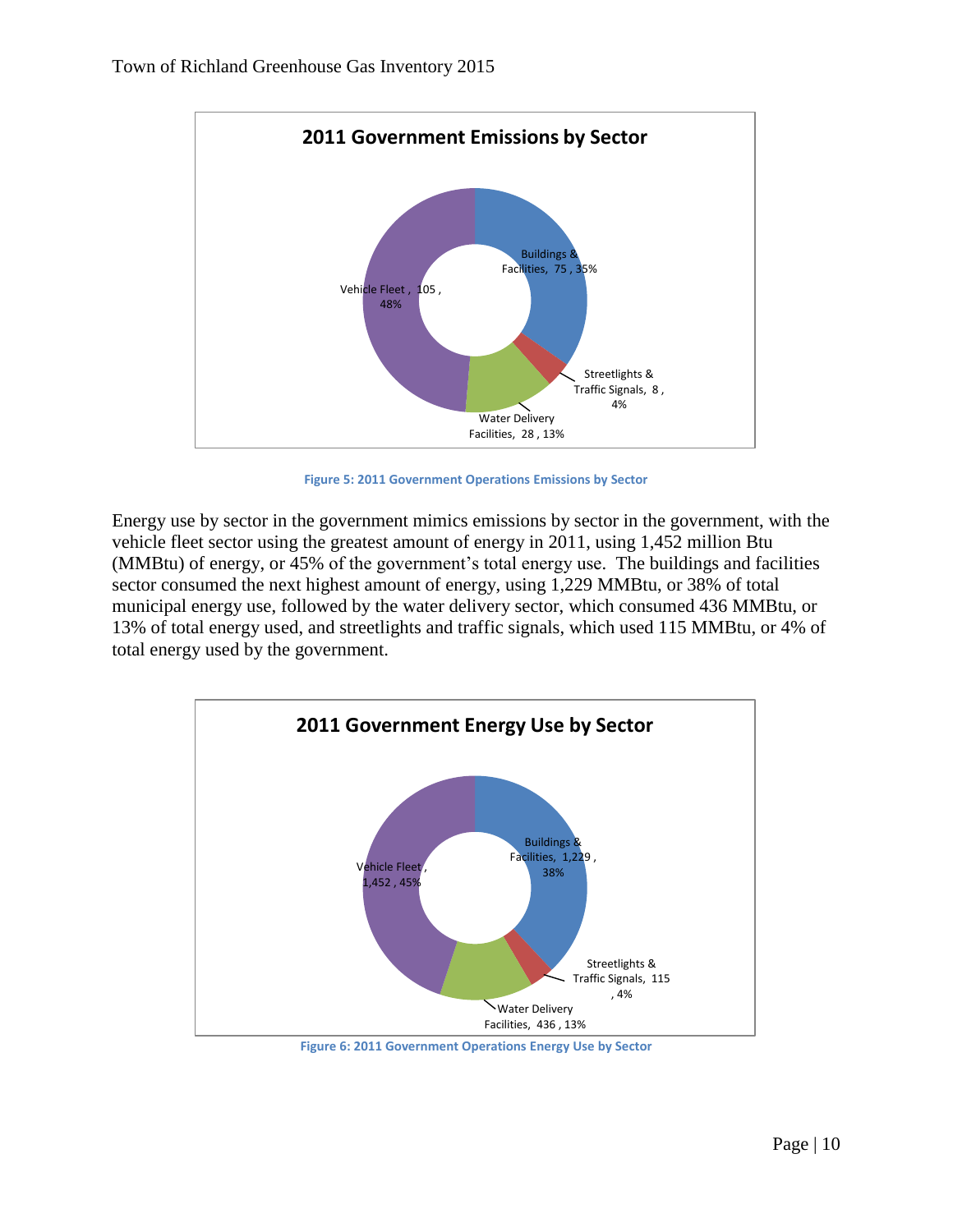

**Figure 5: 2011 Government Operations Emissions by Sector**

Energy use by sector in the government mimics emissions by sector in the government, with the vehicle fleet sector using the greatest amount of energy in 2011, using 1,452 million Btu (MMBtu) of energy, or 45% of the government's total energy use. The buildings and facilities sector consumed the next highest amount of energy, using 1,229 MMBtu, or 38% of total municipal energy use, followed by the water delivery sector, which consumed 436 MMBtu, or 13% of total energy used, and streetlights and traffic signals, which used 115 MMBtu, or 4% of total energy used by the government.

![](_page_10_Figure_4.jpeg)

**Figure 6: 2011 Government Operations Energy Use by Sector**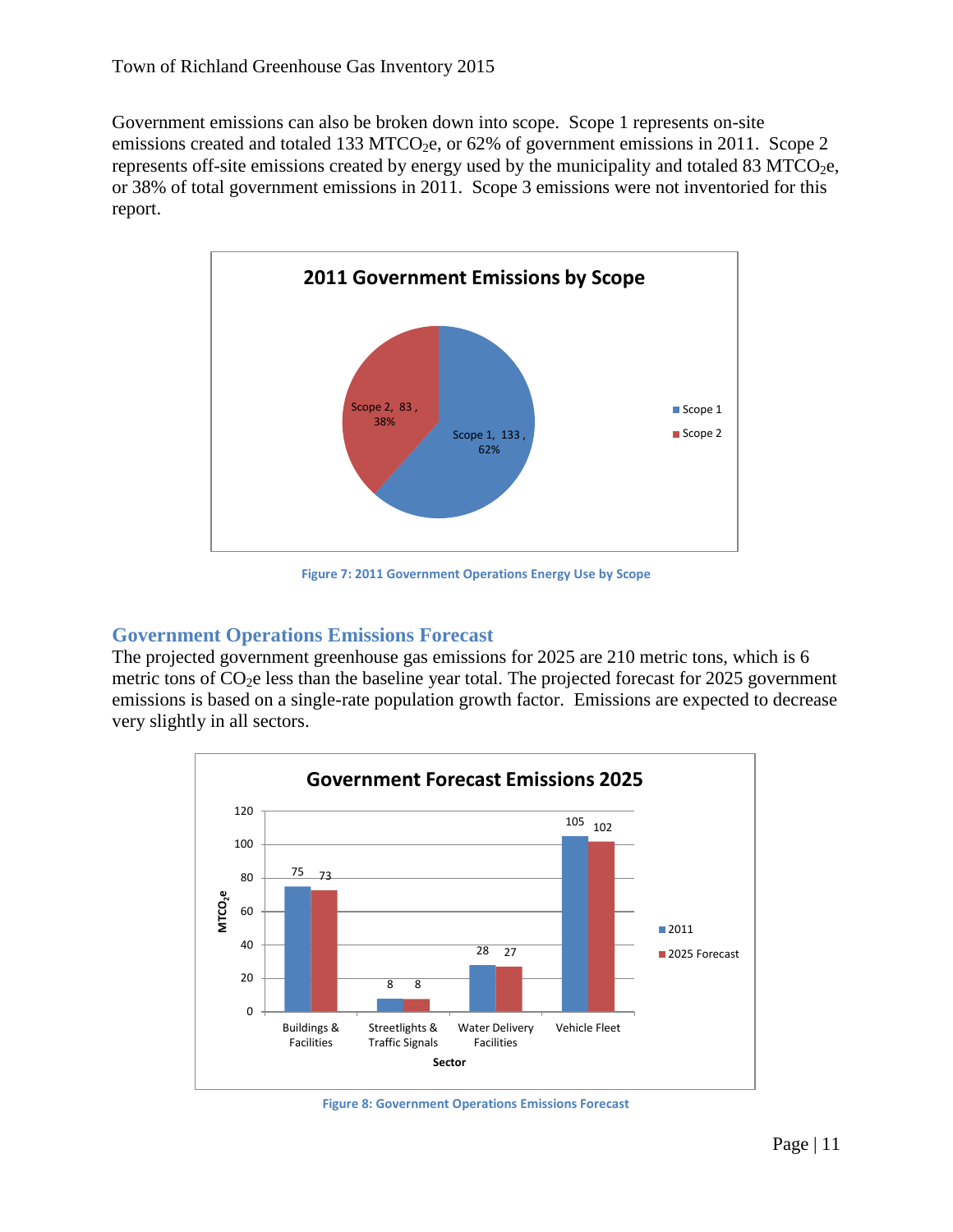Government emissions can also be broken down into scope. Scope 1 represents on-site emissions created and totaled 133 MTCO<sub>2</sub>e, or  $62\%$  of government emissions in 2011. Scope 2 represents off-site emissions created by energy used by the municipality and totaled 83 MTCO<sub>2</sub>e, or 38% of total government emissions in 2011. Scope 3 emissions were not inventoried for this report.

![](_page_11_Figure_2.jpeg)

**Figure 7: 2011 Government Operations Energy Use by Scope**

#### <span id="page-11-0"></span>**Government Operations Emissions Forecast**

The projected government greenhouse gas emissions for 2025 are 210 metric tons, which is 6 metric tons of  $CO<sub>2</sub>e$  less than the baseline year total. The projected forecast for 2025 government emissions is based on a single-rate population growth factor. Emissions are expected to decrease very slightly in all sectors.

![](_page_11_Figure_6.jpeg)

**Figure 8: Government Operations Emissions Forecast**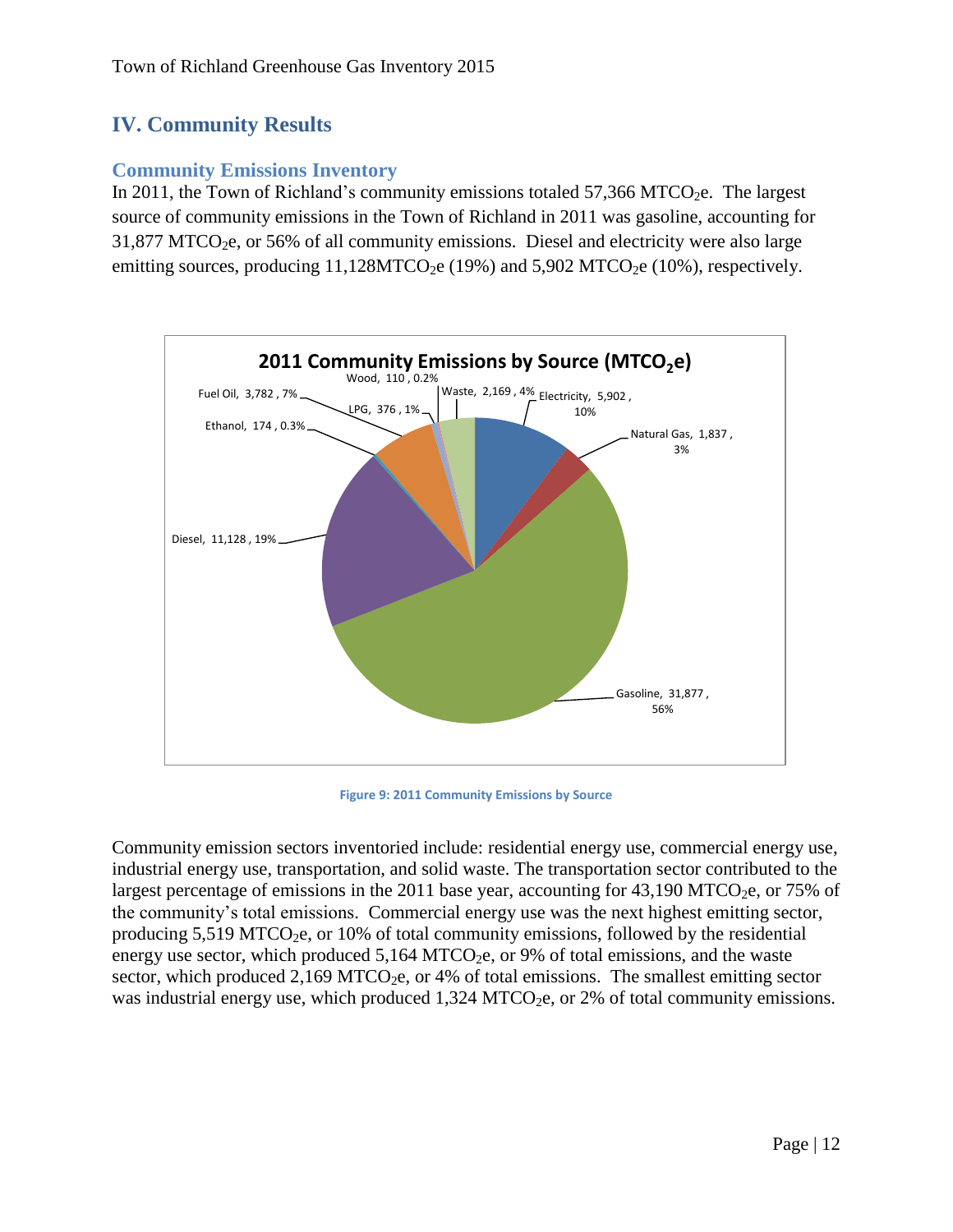## <span id="page-12-0"></span>**IV. Community Results**

## <span id="page-12-1"></span>**Community Emissions Inventory**

In 2011, the Town of Richland's community emissions totaled  $57,366$  MTCO<sub>2</sub>e. The largest source of community emissions in the Town of Richland in 2011 was gasoline, accounting for  $31,877$  MTCO<sub>2</sub>e, or 56% of all community emissions. Diesel and electricity were also large emitting sources, producing  $11,128MTCO<sub>2</sub>e (19%)$  and  $5,902 MTCO<sub>2</sub>e (10%)$ , respectively.

![](_page_12_Figure_4.jpeg)

**Figure 9: 2011 Community Emissions by Source**

Community emission sectors inventoried include: residential energy use, commercial energy use, industrial energy use, transportation, and solid waste. The transportation sector contributed to the largest percentage of emissions in the 2011 base year, accounting for  $43,190$  MTCO<sub>2</sub>e, or 75% of the community's total emissions. Commercial energy use was the next highest emitting sector, producing  $5,519$  MTCO<sub>2</sub>e, or 10% of total community emissions, followed by the residential energy use sector, which produced  $5,164$  MTCO<sub>2</sub>e, or 9% of total emissions, and the waste sector, which produced 2,169 MTCO<sub>2</sub>e, or 4% of total emissions. The smallest emitting sector was industrial energy use, which produced  $1,324$  MTCO<sub>2</sub>e, or 2% of total community emissions.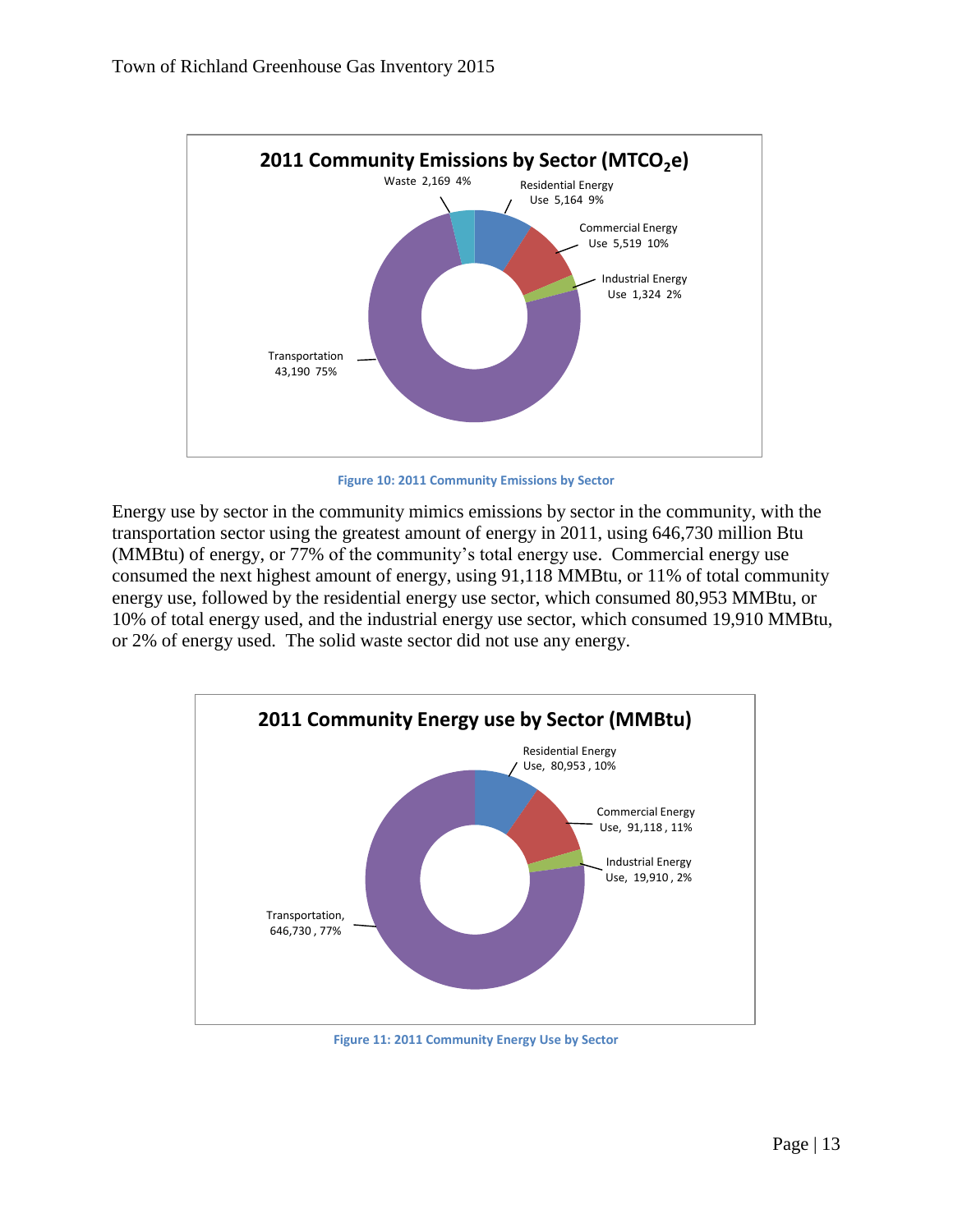![](_page_13_Figure_1.jpeg)

**Figure 10: 2011 Community Emissions by Sector**

Energy use by sector in the community mimics emissions by sector in the community, with the transportation sector using the greatest amount of energy in 2011, using 646,730 million Btu (MMBtu) of energy, or 77% of the community's total energy use. Commercial energy use consumed the next highest amount of energy, using 91,118 MMBtu, or 11% of total community energy use, followed by the residential energy use sector, which consumed 80,953 MMBtu, or 10% of total energy used, and the industrial energy use sector, which consumed 19,910 MMBtu, or 2% of energy used. The solid waste sector did not use any energy.

![](_page_13_Figure_4.jpeg)

**Figure 11: 2011 Community Energy Use by Sector**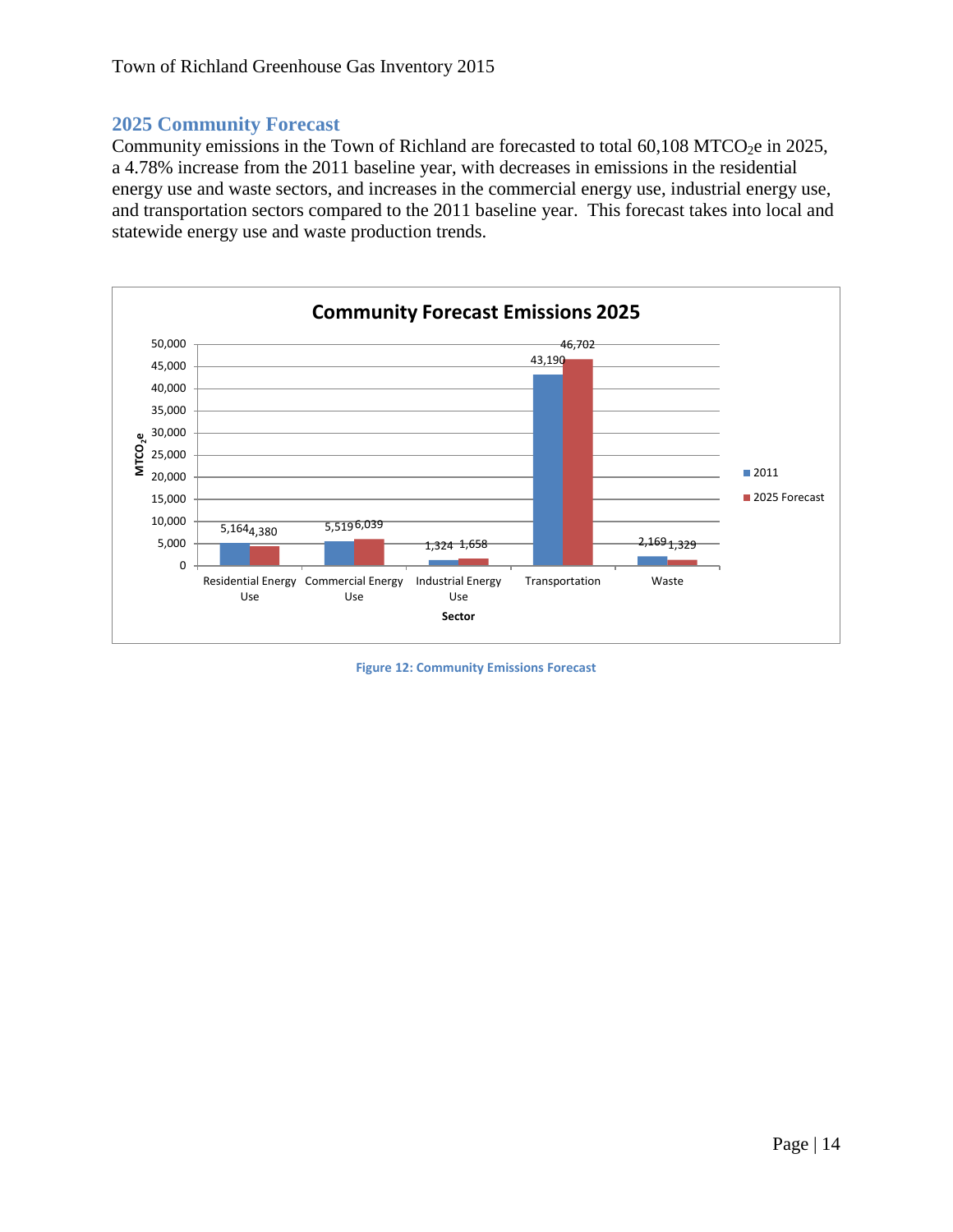#### <span id="page-14-0"></span>**2025 Community Forecast**

Community emissions in the Town of Richland are forecasted to total  $60,108$  MTCO<sub>2</sub>e in 2025, a 4.78% increase from the 2011 baseline year, with decreases in emissions in the residential energy use and waste sectors, and increases in the commercial energy use, industrial energy use, and transportation sectors compared to the 2011 baseline year. This forecast takes into local and statewide energy use and waste production trends.

![](_page_14_Figure_3.jpeg)

**Figure 12: Community Emissions Forecast**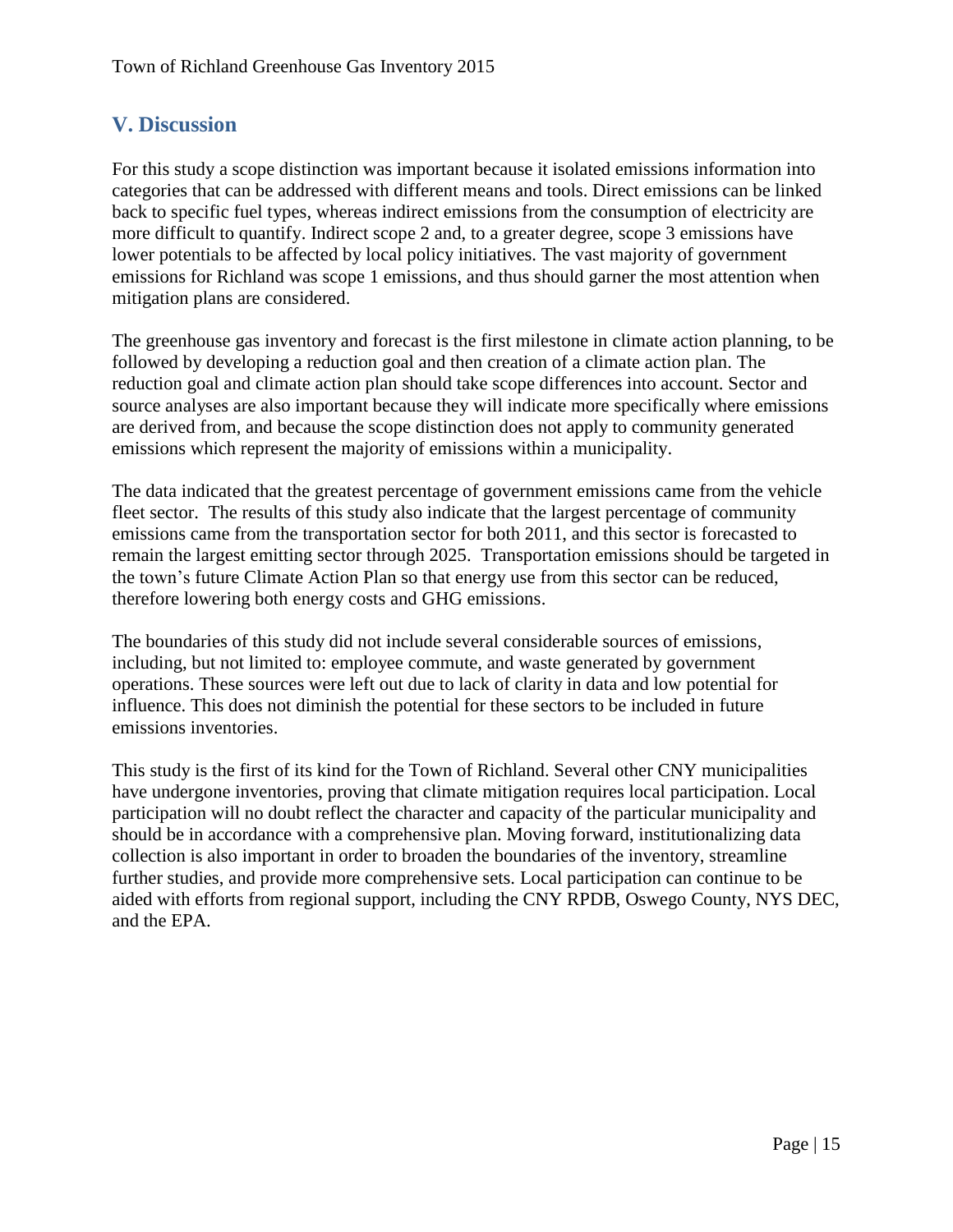## <span id="page-15-0"></span>**V. Discussion**

For this study a scope distinction was important because it isolated emissions information into categories that can be addressed with different means and tools. Direct emissions can be linked back to specific fuel types, whereas indirect emissions from the consumption of electricity are more difficult to quantify. Indirect scope 2 and, to a greater degree, scope 3 emissions have lower potentials to be affected by local policy initiatives. The vast majority of government emissions for Richland was scope 1 emissions, and thus should garner the most attention when mitigation plans are considered.

The greenhouse gas inventory and forecast is the first milestone in climate action planning, to be followed by developing a reduction goal and then creation of a climate action plan. The reduction goal and climate action plan should take scope differences into account. Sector and source analyses are also important because they will indicate more specifically where emissions are derived from, and because the scope distinction does not apply to community generated emissions which represent the majority of emissions within a municipality.

The data indicated that the greatest percentage of government emissions came from the vehicle fleet sector. The results of this study also indicate that the largest percentage of community emissions came from the transportation sector for both 2011, and this sector is forecasted to remain the largest emitting sector through 2025. Transportation emissions should be targeted in the town's future Climate Action Plan so that energy use from this sector can be reduced, therefore lowering both energy costs and GHG emissions.

The boundaries of this study did not include several considerable sources of emissions, including, but not limited to: employee commute, and waste generated by government operations. These sources were left out due to lack of clarity in data and low potential for influence. This does not diminish the potential for these sectors to be included in future emissions inventories.

This study is the first of its kind for the Town of Richland. Several other CNY municipalities have undergone inventories, proving that climate mitigation requires local participation. Local participation will no doubt reflect the character and capacity of the particular municipality and should be in accordance with a comprehensive plan. Moving forward, institutionalizing data collection is also important in order to broaden the boundaries of the inventory, streamline further studies, and provide more comprehensive sets. Local participation can continue to be aided with efforts from regional support, including the CNY RPDB, Oswego County, NYS DEC, and the EPA.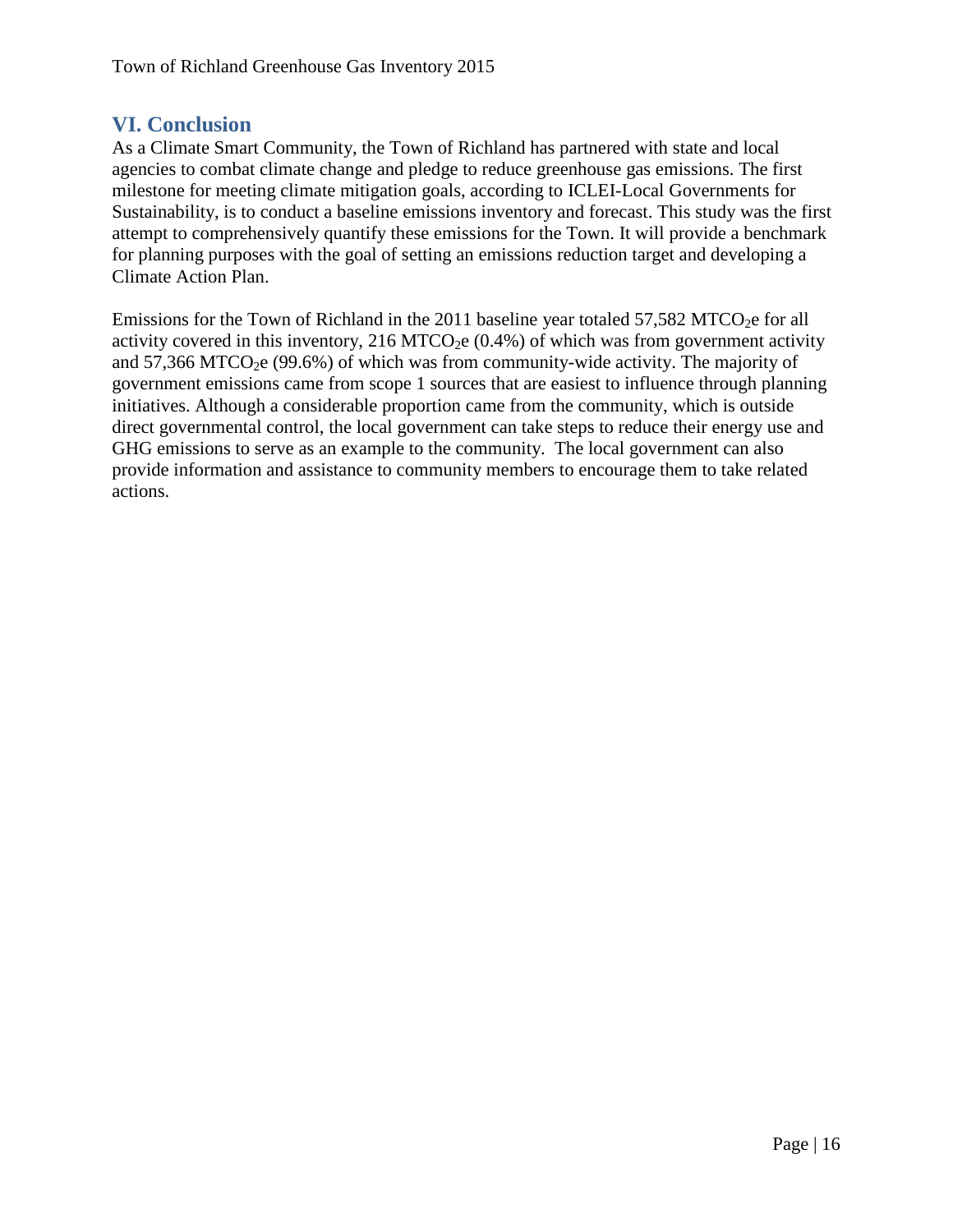## <span id="page-16-0"></span>**VI. Conclusion**

As a Climate Smart Community, the Town of Richland has partnered with state and local agencies to combat climate change and pledge to reduce greenhouse gas emissions. The first milestone for meeting climate mitigation goals, according to ICLEI-Local Governments for Sustainability, is to conduct a baseline emissions inventory and forecast. This study was the first attempt to comprehensively quantify these emissions for the Town. It will provide a benchmark for planning purposes with the goal of setting an emissions reduction target and developing a Climate Action Plan.

Emissions for the Town of Richland in the 2011 baseline year totaled  $57,582$  MTCO<sub>2</sub>e for all activity covered in this inventory, 216 MTCO<sub>2</sub>e  $(0.4%)$  of which was from government activity and  $57,366$  MTCO<sub>2</sub>e (99.6%) of which was from community-wide activity. The majority of government emissions came from scope 1 sources that are easiest to influence through planning initiatives. Although a considerable proportion came from the community, which is outside direct governmental control, the local government can take steps to reduce their energy use and GHG emissions to serve as an example to the community. The local government can also provide information and assistance to community members to encourage them to take related actions.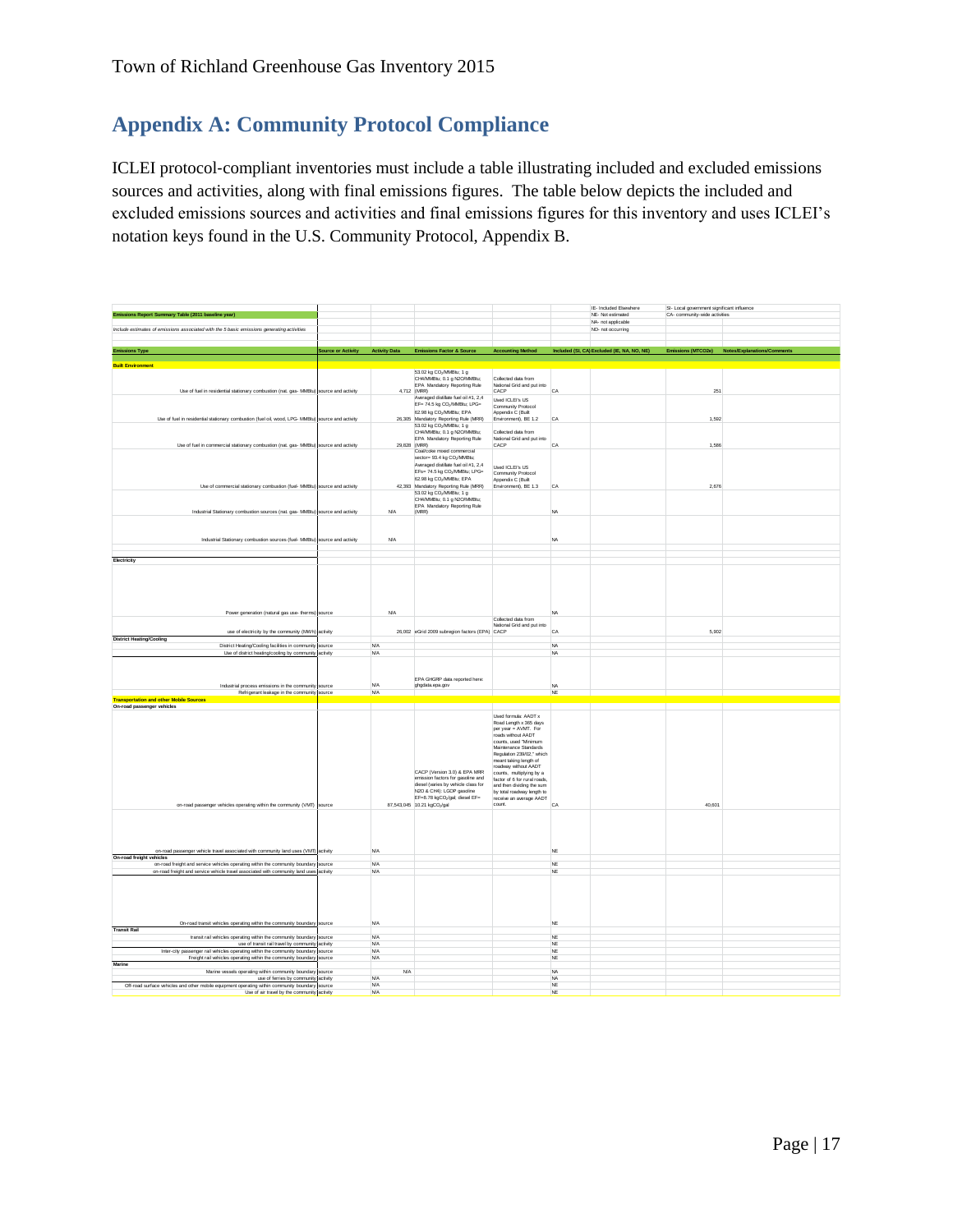## <span id="page-17-0"></span>**Appendix A: Community Protocol Compliance**

ICLEI protocol‐compliant inventories must include a table illustrating included and excluded emissions sources and activities, along with final emissions figures. The table below depicts the included and excluded emissions sources and activities and final emissions figures for this inventory and uses ICLEI's notation keys found in the U.S. Community Protocol, Appendix B.

| Emissions Report Summary Table (2011 baseline year)                                                                                                                     |                                  |                        |                                                                          |                                                           |                 | IE- Included Elsewhere<br>NE- Not estimated                   | SI- Local government significant influence<br>CA- community-wide activities |                                                |
|-------------------------------------------------------------------------------------------------------------------------------------------------------------------------|----------------------------------|------------------------|--------------------------------------------------------------------------|-----------------------------------------------------------|-----------------|---------------------------------------------------------------|-----------------------------------------------------------------------------|------------------------------------------------|
|                                                                                                                                                                         |                                  |                        |                                                                          |                                                           |                 | NA- not applicable                                            |                                                                             |                                                |
| Include estimates of emissions associated with the 5 basic emissions generating activities                                                                              |                                  |                        |                                                                          |                                                           |                 | NO- not occurring                                             |                                                                             |                                                |
|                                                                                                                                                                         |                                  |                        |                                                                          |                                                           |                 |                                                               |                                                                             |                                                |
|                                                                                                                                                                         |                                  |                        |                                                                          |                                                           |                 |                                                               |                                                                             |                                                |
| <b>Emissions Type</b>                                                                                                                                                   | Source or Activity Activity Data |                        | Emissions Factor & Source                                                |                                                           |                 | Accounting Method Included (SI, CA) Excluded (IE, NA, NO, NE) |                                                                             | Emissions (MTCO2e) Notes/Explanations/Comments |
| <b>Built Environment</b>                                                                                                                                                |                                  |                        |                                                                          |                                                           |                 |                                                               |                                                                             |                                                |
|                                                                                                                                                                         |                                  |                        | 53.02 kg CO-/MMBtu: 1 g                                                  |                                                           |                 |                                                               |                                                                             |                                                |
|                                                                                                                                                                         |                                  |                        | CH4/MWBtu; 0.1 g N2O/MMBtu;                                              | Collected data from                                       |                 |                                                               |                                                                             |                                                |
|                                                                                                                                                                         |                                  |                        | EPA Mandatory Reporting Rule                                             | National Grid and put into                                |                 |                                                               |                                                                             |                                                |
| Use of fuel in residential stationary combustion (nat. gas- MMBtu) source and activity                                                                                  |                                  |                        | 4,712 (MRR)<br>Averaged distilate fuel oil #1, 2,4                       | CACP                                                      | CA              |                                                               | 251                                                                         |                                                |
|                                                                                                                                                                         |                                  |                        | EF= 74.5 kg CO2/MMBtu; LPG=                                              | Used ICLEI's US                                           |                 |                                                               |                                                                             |                                                |
|                                                                                                                                                                         |                                  |                        | 62.98 kg CO <sub>2</sub> /MMBtu; EPA                                     | Community Protocol<br>Appendix C (Built                   |                 |                                                               |                                                                             |                                                |
| Use of fuel in residential stationary combustion (fuel oil, wood, LPG- MMBtu) source and activity                                                                       |                                  |                        | 26,305 Mandatory Reporting Rule (MRR)                                    | Environment), BE 1.2                                      | CA              |                                                               | 1.592                                                                       |                                                |
|                                                                                                                                                                         |                                  |                        | 53.02 kg CO <sub>2</sub> MMBtu; 1 g                                      |                                                           |                 |                                                               |                                                                             |                                                |
|                                                                                                                                                                         |                                  |                        | CH4/MMBtu: 0.1 a N2O/MMBtu:                                              | Collected data from                                       |                 |                                                               |                                                                             |                                                |
|                                                                                                                                                                         |                                  |                        | EPA Mandatory Reporting Rule                                             | National Grid and put into                                |                 |                                                               |                                                                             |                                                |
| Use of fuel in commercial stationary combustion (nat. gas- MMBtu) source and activity                                                                                   |                                  | 29,828 (MRR)           | Coal/coke mixed commercial                                               | CACP                                                      | CA              |                                                               | 1.586                                                                       |                                                |
|                                                                                                                                                                         |                                  |                        | sector= 93.4 kg CO <sub>2</sub> /MMBtu;                                  |                                                           |                 |                                                               |                                                                             |                                                |
|                                                                                                                                                                         |                                  |                        | Averaged distilate fuel oil #1, 2,4                                      | Used ICLEI's US                                           |                 |                                                               |                                                                             |                                                |
|                                                                                                                                                                         |                                  |                        | EFs= 74.5 kg CO2/MMBtu; LPG=                                             | Community Protocol                                        |                 |                                                               |                                                                             |                                                |
|                                                                                                                                                                         |                                  |                        | 62.98 kg CO <sub>2</sub> /MMBtu; EPA                                     | Appendix C (Built                                         |                 |                                                               |                                                                             |                                                |
| Use of commercial stationary combustion (fuel- MMBtu) source and activity                                                                                               |                                  |                        | 42,393 Mandatory Reporting Rule (MRR)                                    | Environment), BE 1.3                                      | CA              |                                                               | 2.676                                                                       |                                                |
|                                                                                                                                                                         |                                  |                        | 53.02 kg CO <sub>2</sub> /MMBtu; 1 g                                     |                                                           |                 |                                                               |                                                                             |                                                |
|                                                                                                                                                                         |                                  |                        | CH4/MMBtu; 0.1 g N2O/MMBtu;<br>EPA Mandatory Reporting Rule              |                                                           |                 |                                                               |                                                                             |                                                |
| Industrial Stationary combustion sources (nat. gas- MMBtu) source and activity                                                                                          |                                  | <b>N/A</b>             | (MRR)                                                                    |                                                           | <b>NA</b>       |                                                               |                                                                             |                                                |
|                                                                                                                                                                         |                                  |                        |                                                                          |                                                           |                 |                                                               |                                                                             |                                                |
|                                                                                                                                                                         |                                  |                        |                                                                          |                                                           |                 |                                                               |                                                                             |                                                |
|                                                                                                                                                                         |                                  |                        |                                                                          |                                                           |                 |                                                               |                                                                             |                                                |
| Industrial Stationary combustion sources (fuel- MMBtu) source and activity                                                                                              |                                  | <b>N/A</b>             |                                                                          |                                                           | NA              |                                                               |                                                                             |                                                |
|                                                                                                                                                                         |                                  |                        |                                                                          |                                                           |                 |                                                               |                                                                             |                                                |
| Electricity                                                                                                                                                             |                                  |                        |                                                                          |                                                           |                 |                                                               |                                                                             |                                                |
|                                                                                                                                                                         |                                  |                        |                                                                          |                                                           |                 |                                                               |                                                                             |                                                |
|                                                                                                                                                                         |                                  |                        |                                                                          |                                                           |                 |                                                               |                                                                             |                                                |
|                                                                                                                                                                         |                                  |                        |                                                                          |                                                           |                 |                                                               |                                                                             |                                                |
|                                                                                                                                                                         |                                  |                        |                                                                          |                                                           |                 |                                                               |                                                                             |                                                |
|                                                                                                                                                                         |                                  |                        |                                                                          |                                                           |                 |                                                               |                                                                             |                                                |
|                                                                                                                                                                         |                                  |                        |                                                                          |                                                           |                 |                                                               |                                                                             |                                                |
| Power generation (natural gas use- therms) source                                                                                                                       |                                  | <b>N/A</b>             |                                                                          |                                                           | <b>NA</b>       |                                                               |                                                                             |                                                |
|                                                                                                                                                                         |                                  |                        |                                                                          | Collected data from                                       |                 |                                                               |                                                                             |                                                |
|                                                                                                                                                                         |                                  |                        |                                                                          | National Grid and put into                                |                 |                                                               |                                                                             |                                                |
| use of electricity by the community (MWh) activity                                                                                                                      |                                  |                        | 26,002 eGrid 2009 subregion factors (EPA) CACP                           |                                                           | CA              |                                                               | 5.902                                                                       |                                                |
| <b>District Heating/Cooling</b>                                                                                                                                         |                                  | <b>N/A</b>             |                                                                          |                                                           | <b>NA</b>       |                                                               |                                                                             |                                                |
| District Heating/Cooling facilities in community source<br>Use of district heating/cooling by community activity                                                        |                                  | <b>N/A</b>             |                                                                          |                                                           | <b>NA</b>       |                                                               |                                                                             |                                                |
|                                                                                                                                                                         |                                  |                        |                                                                          |                                                           |                 |                                                               |                                                                             |                                                |
|                                                                                                                                                                         |                                  |                        |                                                                          |                                                           |                 |                                                               |                                                                             |                                                |
|                                                                                                                                                                         |                                  |                        |                                                                          |                                                           |                 |                                                               |                                                                             |                                                |
|                                                                                                                                                                         |                                  |                        | EPA GHGRP data reported here:                                            |                                                           |                 |                                                               |                                                                             |                                                |
| Industrial process emissions in the community source                                                                                                                    |                                  | <b>N/A</b>             | ghgdata.epa.gov                                                          |                                                           | <b>NA</b><br>NE |                                                               |                                                                             |                                                |
| Refrigerant leakage in the community source<br><b>Transportation and other Mobile Sources</b>                                                                           |                                  | <b>N/A</b>             |                                                                          |                                                           |                 |                                                               |                                                                             |                                                |
| On-road passenger vehicles                                                                                                                                              |                                  |                        |                                                                          |                                                           |                 |                                                               |                                                                             |                                                |
|                                                                                                                                                                         |                                  |                        |                                                                          | Used formula: AADT x                                      |                 |                                                               |                                                                             |                                                |
|                                                                                                                                                                         |                                  |                        |                                                                          | Road Length x 365 days                                    |                 |                                                               |                                                                             |                                                |
|                                                                                                                                                                         |                                  |                        |                                                                          | per year = AVMT. For                                      |                 |                                                               |                                                                             |                                                |
|                                                                                                                                                                         |                                  |                        |                                                                          | roads without AADT                                        |                 |                                                               |                                                                             |                                                |
|                                                                                                                                                                         |                                  |                        |                                                                          | counts, used "Minimum<br>Maintenance Standards            |                 |                                                               |                                                                             |                                                |
|                                                                                                                                                                         |                                  |                        |                                                                          | Regulation 239/02," which                                 |                 |                                                               |                                                                             |                                                |
|                                                                                                                                                                         |                                  |                        |                                                                          | meant taking length of                                    |                 |                                                               |                                                                             |                                                |
|                                                                                                                                                                         |                                  |                        |                                                                          | roadway without AADT                                      |                 |                                                               |                                                                             |                                                |
|                                                                                                                                                                         |                                  |                        | CACP (Version 3.0) & EPA MRR                                             | counts, multiplying by a                                  |                 |                                                               |                                                                             |                                                |
|                                                                                                                                                                         |                                  |                        | emission factors for gasoline and<br>diesel (varies by vehicle class for | factor of 6 for rural roads.<br>and then dividing the sum |                 |                                                               |                                                                             |                                                |
|                                                                                                                                                                         |                                  |                        | N2O & CH4): LGOP gasoline                                                | by total roadway length to                                |                 |                                                               |                                                                             |                                                |
|                                                                                                                                                                         |                                  |                        | EF=8.78 kgCO2/gal; diesel EF=                                            | receive an average AADT                                   |                 |                                                               |                                                                             |                                                |
| on-road passenger vehicles operating within the community (VMT) source                                                                                                  |                                  |                        | 87,543,045 10.21 kgCO2/gal                                               | count.                                                    | CA              |                                                               | 40,601                                                                      |                                                |
|                                                                                                                                                                         |                                  |                        |                                                                          |                                                           |                 |                                                               |                                                                             |                                                |
|                                                                                                                                                                         |                                  |                        |                                                                          |                                                           |                 |                                                               |                                                                             |                                                |
|                                                                                                                                                                         |                                  |                        |                                                                          |                                                           |                 |                                                               |                                                                             |                                                |
|                                                                                                                                                                         |                                  |                        |                                                                          |                                                           |                 |                                                               |                                                                             |                                                |
|                                                                                                                                                                         |                                  |                        |                                                                          |                                                           |                 |                                                               |                                                                             |                                                |
| on-road passenger vehicle travel associated with community land uses (VMT) activity                                                                                     |                                  | <b>N/A</b>             |                                                                          |                                                           | NE              |                                                               |                                                                             |                                                |
| On-road freight vehicles                                                                                                                                                |                                  | <b>NA</b>              |                                                                          |                                                           | NE              |                                                               |                                                                             |                                                |
| on-road freight and service vehicles operating within the community boundary<br>on-road freight and service vehicle travel associated with community land uses activity | source                           | <b>NA</b>              |                                                                          |                                                           | NE              |                                                               |                                                                             |                                                |
|                                                                                                                                                                         |                                  |                        |                                                                          |                                                           |                 |                                                               |                                                                             |                                                |
|                                                                                                                                                                         |                                  |                        |                                                                          |                                                           |                 |                                                               |                                                                             |                                                |
|                                                                                                                                                                         |                                  |                        |                                                                          |                                                           |                 |                                                               |                                                                             |                                                |
|                                                                                                                                                                         |                                  |                        |                                                                          |                                                           |                 |                                                               |                                                                             |                                                |
|                                                                                                                                                                         |                                  |                        |                                                                          |                                                           |                 |                                                               |                                                                             |                                                |
|                                                                                                                                                                         |                                  |                        |                                                                          |                                                           |                 |                                                               |                                                                             |                                                |
| On-road transit vehicles operating within the community boundary source                                                                                                 |                                  | <b>N/A</b>             |                                                                          |                                                           | NE              |                                                               |                                                                             |                                                |
| <b>Transit Rail</b>                                                                                                                                                     |                                  |                        |                                                                          |                                                           |                 |                                                               |                                                                             |                                                |
| transit rail vehicles operating within the community boundary                                                                                                           | source                           | <b>N/A</b>             |                                                                          |                                                           | NE              |                                                               |                                                                             |                                                |
| use of transit rail travel by community activity                                                                                                                        |                                  | <b>N/A</b>             |                                                                          |                                                           | NE              |                                                               |                                                                             |                                                |
| Inter-city passenger rail vehicles operating within the community boundary                                                                                              | source                           | <b>NA</b><br><b>NA</b> |                                                                          |                                                           | NE<br>NE        |                                                               |                                                                             |                                                |
| Freight rail vehicles operating within the community boundary<br>Marine                                                                                                 | source                           |                        |                                                                          |                                                           |                 |                                                               |                                                                             |                                                |
| Marine vessels operating within community boundary                                                                                                                      | source                           | <b>NA</b>              |                                                                          |                                                           | <b>NA</b>       |                                                               |                                                                             |                                                |
| use of ferries by community activity                                                                                                                                    |                                  | <b>NA</b>              |                                                                          |                                                           | <b>NA</b>       |                                                               |                                                                             |                                                |
| Off-road surface vehicles and other mobile equipment operating within community boundary                                                                                | source                           | <b>N/A</b>             |                                                                          |                                                           | NF              |                                                               |                                                                             |                                                |
| Use of air travel by the community activity                                                                                                                             |                                  | <b>N/A</b>             |                                                                          |                                                           | NE              |                                                               |                                                                             |                                                |
|                                                                                                                                                                         |                                  |                        |                                                                          |                                                           |                 |                                                               |                                                                             |                                                |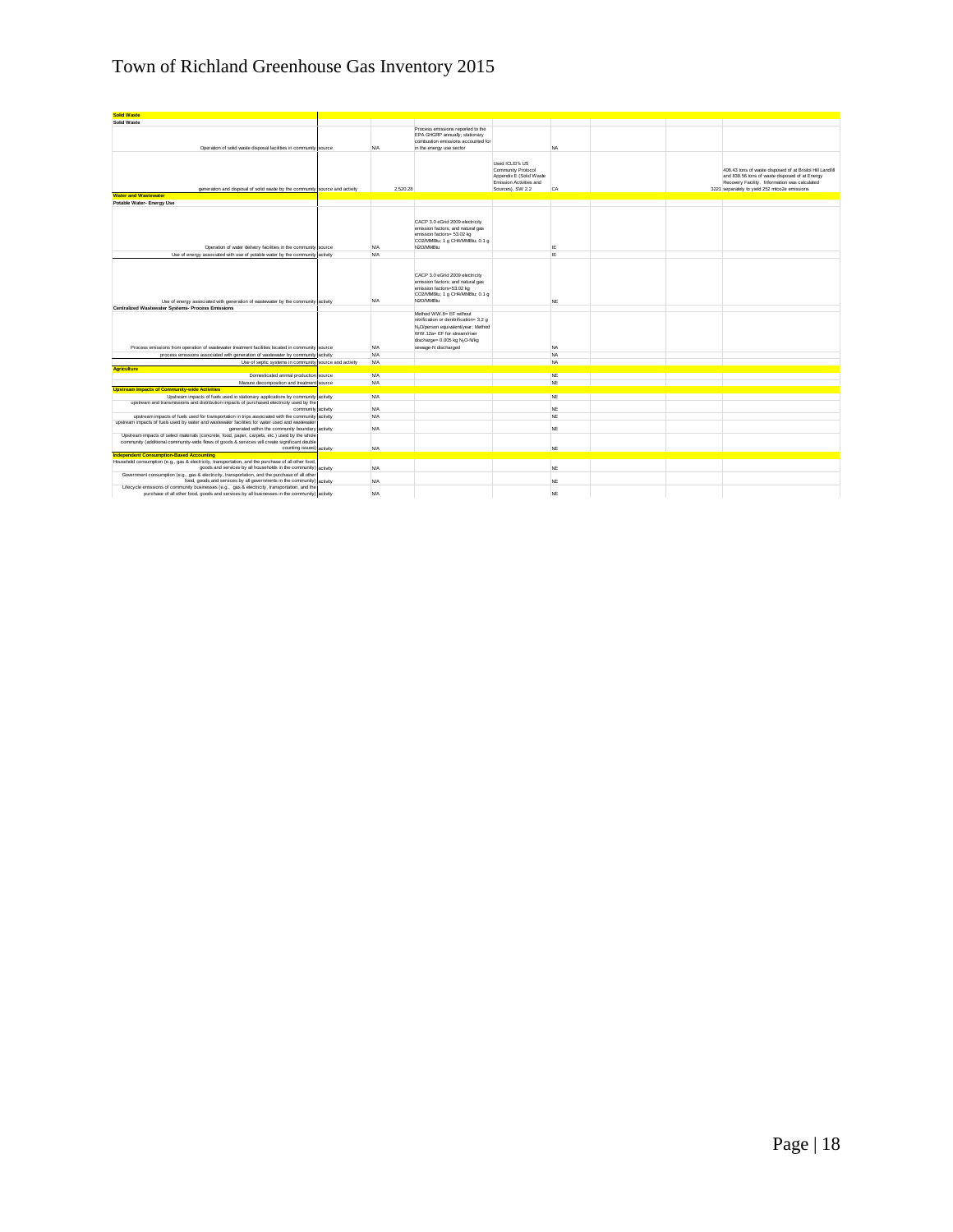| <b>Solid Waste</b>                                                                                                                                                                                                                                                             |            |                                                                                                                                                                                                |                                                                                             |           |  |                                                                                                                                                              |
|--------------------------------------------------------------------------------------------------------------------------------------------------------------------------------------------------------------------------------------------------------------------------------|------------|------------------------------------------------------------------------------------------------------------------------------------------------------------------------------------------------|---------------------------------------------------------------------------------------------|-----------|--|--------------------------------------------------------------------------------------------------------------------------------------------------------------|
| <b>Solid Waste</b>                                                                                                                                                                                                                                                             |            |                                                                                                                                                                                                |                                                                                             |           |  |                                                                                                                                                              |
| Operation of solid waste disposal facilities in community source                                                                                                                                                                                                               | <b>N/A</b> | Process emissions reported to the<br>EPA GHGRP annually; stationary<br>combustion emissions accounted for<br>in the energy use sector                                                          |                                                                                             | <b>NA</b> |  |                                                                                                                                                              |
|                                                                                                                                                                                                                                                                                | 2.520.28   |                                                                                                                                                                                                | Used ICLEI's US<br>Community Protocol<br>Appendix E (Solid Waste<br>Emission Activities and |           |  | 408.43 tons of waste disposed of at Bristol Hill Landfill<br>and 838.56 tons of waste disposed of at Energy<br>Recovery Facility. Information was calculated |
| generation and disposal of solid waste by the community source and activity<br><b>Water and Wastewater</b>                                                                                                                                                                     |            |                                                                                                                                                                                                | Sources), SW 2.2                                                                            | CA        |  | 3221 separately to yield 252 mtco2e emissions                                                                                                                |
| Potable Water- Energy Use                                                                                                                                                                                                                                                      |            |                                                                                                                                                                                                |                                                                                             |           |  |                                                                                                                                                              |
| Operation of water delivery facilities in the community source                                                                                                                                                                                                                 | <b>N/A</b> | CACP 3.0 eGrid 2009 electricity<br>emission factors: and natural gas<br>emission factors= 53.02 kg<br>CO2/MMBtu; 1 g CH4/MMBtu; 0.1 g<br>N2O/MMBtu                                             |                                                                                             | IE        |  |                                                                                                                                                              |
| Use of energy associated with use of potable water by the community activity                                                                                                                                                                                                   | <b>N/A</b> |                                                                                                                                                                                                |                                                                                             | <b>IE</b> |  |                                                                                                                                                              |
|                                                                                                                                                                                                                                                                                | <b>N/A</b> | CACP 3.0 eGrid 2009 electricity<br>emission factors: and natural gas<br>emission factors=53.02 kg<br>CO2/MMBtu; 1 g CH4/MMBtu; 0.1 g<br>N2O/MMRhi                                              |                                                                                             | NE        |  |                                                                                                                                                              |
| Use of energy associated with generation of wastewater by the community activity<br>Centralized Wastewater Systems- Process Emissions                                                                                                                                          |            |                                                                                                                                                                                                |                                                                                             |           |  |                                                                                                                                                              |
| Process emissions from operation of wastewater treatment facilities located in community source                                                                                                                                                                                | <b>N/A</b> | Method WW.8= EF without<br>nitrification or denitrification= 3.2 o<br>N,O/person equivalent/year; Method<br>WW.12a= EF for stream/river<br>discharge= 0.005 kg N2O-N/kg<br>sewage-N discharged |                                                                                             | <b>NA</b> |  |                                                                                                                                                              |
| process emissions associated with generation of wastewater by community activity                                                                                                                                                                                               | <b>N/A</b> |                                                                                                                                                                                                |                                                                                             | NA        |  |                                                                                                                                                              |
| Use of septic systems in community source and activity                                                                                                                                                                                                                         | <b>N/A</b> |                                                                                                                                                                                                |                                                                                             | NA        |  |                                                                                                                                                              |
| <b>Agriculture</b>                                                                                                                                                                                                                                                             |            |                                                                                                                                                                                                |                                                                                             |           |  |                                                                                                                                                              |
| Domesticated animal production source                                                                                                                                                                                                                                          | <b>N/A</b> |                                                                                                                                                                                                |                                                                                             | NE        |  |                                                                                                                                                              |
| Manure decomposition and treatment source                                                                                                                                                                                                                                      | <b>N/A</b> |                                                                                                                                                                                                |                                                                                             | NE        |  |                                                                                                                                                              |
| <b>Upstream Impacts of Community-wide Activities</b>                                                                                                                                                                                                                           |            |                                                                                                                                                                                                |                                                                                             |           |  |                                                                                                                                                              |
| Upstream impacts of fuels used in stationary applications by community activity                                                                                                                                                                                                | N/A        |                                                                                                                                                                                                |                                                                                             | NF        |  |                                                                                                                                                              |
| upstream and transmissions and distribution impacts of purchased electricity used by the<br>community activity                                                                                                                                                                 | <b>N/A</b> |                                                                                                                                                                                                |                                                                                             | NE        |  |                                                                                                                                                              |
| upstream impacts of fuels used for transportation in trips associated with the community activity                                                                                                                                                                              | <b>N/A</b> |                                                                                                                                                                                                |                                                                                             | NE        |  |                                                                                                                                                              |
| upstream impacts of fuels used by water and wastewater facilities for water used and wastewate<br>generated within the community boundary activity                                                                                                                             | <b>N/A</b> |                                                                                                                                                                                                |                                                                                             | NE        |  |                                                                                                                                                              |
| Upstream impacts of select materials (concrete, food, paper, carpets, etc.) used by the whole<br>community (additional community-wide flows of goods & services will create significant double<br>counting issues) activity<br><b>Independent Consumption-Based Accounting</b> | <b>N/A</b> |                                                                                                                                                                                                |                                                                                             | NE        |  |                                                                                                                                                              |
| Household consumption (e.g., gas & electricity, transportation, and the purchase of all other food,                                                                                                                                                                            |            |                                                                                                                                                                                                |                                                                                             |           |  |                                                                                                                                                              |
| goods and services by all households in the community) activity<br>Government consumption (e.g., gas & electricity, transportation, and the purchase of all other                                                                                                              | <b>N/A</b> |                                                                                                                                                                                                |                                                                                             | NE        |  |                                                                                                                                                              |
| food, goods and services by all governments in the community) activity<br>Lifecycle emissions of community businesses (e.g., gas & electricity, transportation, and the                                                                                                        | <b>N/A</b> |                                                                                                                                                                                                |                                                                                             | NE        |  |                                                                                                                                                              |
| purchase of all other food, goods and services by all businesses in the community) activity                                                                                                                                                                                    | <b>N/A</b> |                                                                                                                                                                                                |                                                                                             | NE        |  |                                                                                                                                                              |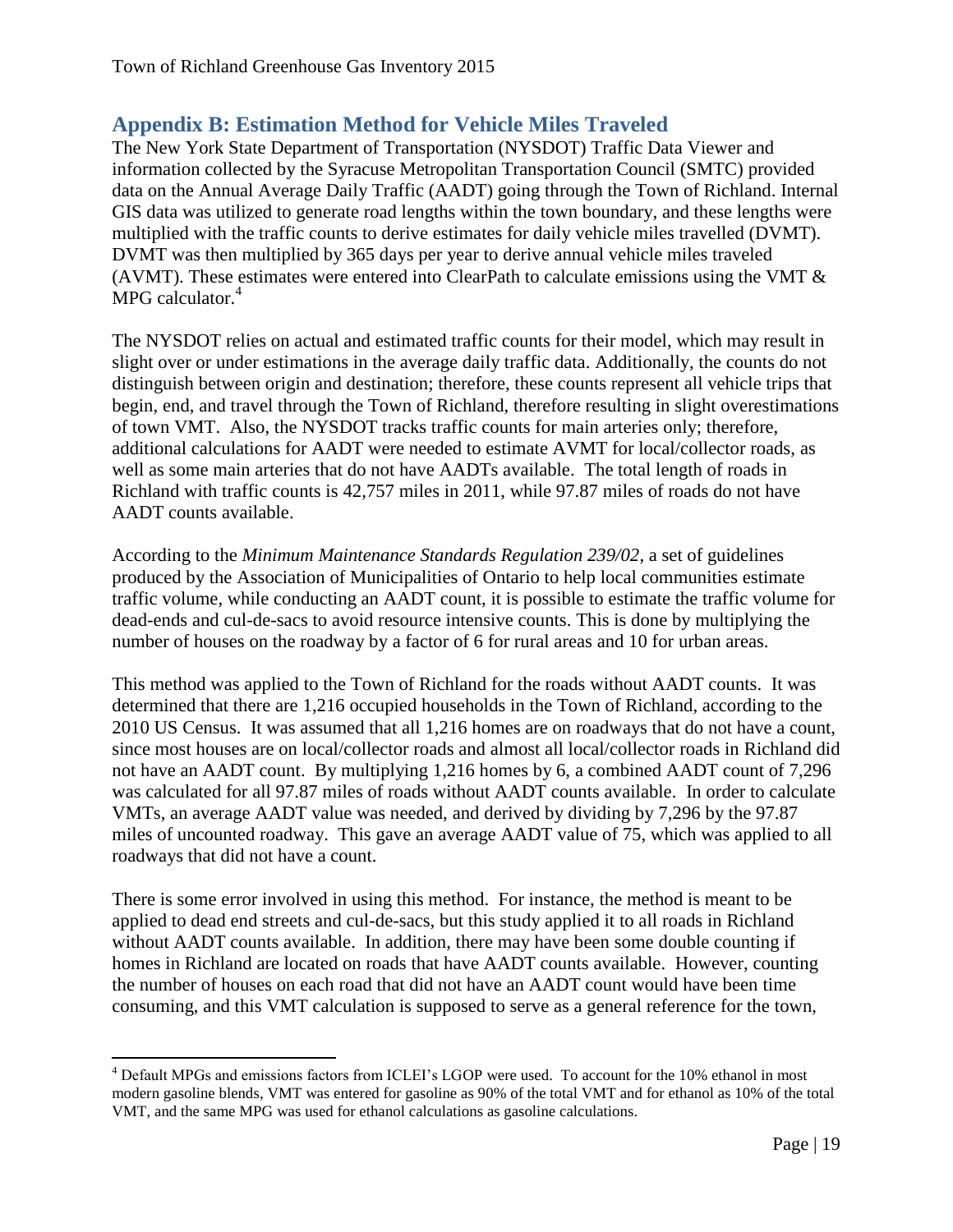## <span id="page-19-0"></span>**Appendix B: Estimation Method for Vehicle Miles Traveled**

The New York State Department of Transportation (NYSDOT) Traffic Data Viewer and information collected by the Syracuse Metropolitan Transportation Council (SMTC) provided data on the Annual Average Daily Traffic (AADT) going through the Town of Richland. Internal GIS data was utilized to generate road lengths within the town boundary, and these lengths were multiplied with the traffic counts to derive estimates for daily vehicle miles travelled (DVMT). DVMT was then multiplied by 365 days per year to derive annual vehicle miles traveled (AVMT). These estimates were entered into ClearPath to calculate emissions using the VMT & MPG calculator.<sup>4</sup>

The NYSDOT relies on actual and estimated traffic counts for their model, which may result in slight over or under estimations in the average daily traffic data. Additionally, the counts do not distinguish between origin and destination; therefore, these counts represent all vehicle trips that begin, end, and travel through the Town of Richland, therefore resulting in slight overestimations of town VMT. Also, the NYSDOT tracks traffic counts for main arteries only; therefore, additional calculations for AADT were needed to estimate AVMT for local/collector roads, as well as some main arteries that do not have AADTs available. The total length of roads in Richland with traffic counts is 42,757 miles in 2011, while 97.87 miles of roads do not have AADT counts available.

According to the *Minimum Maintenance Standards Regulation 239/02*, a set of guidelines produced by the Association of Municipalities of Ontario to help local communities estimate traffic volume, while conducting an AADT count, it is possible to estimate the traffic volume for dead-ends and cul-de-sacs to avoid resource intensive counts. This is done by multiplying the number of houses on the roadway by a factor of 6 for rural areas and 10 for urban areas.

This method was applied to the Town of Richland for the roads without AADT counts. It was determined that there are 1,216 occupied households in the Town of Richland, according to the 2010 US Census. It was assumed that all 1,216 homes are on roadways that do not have a count, since most houses are on local/collector roads and almost all local/collector roads in Richland did not have an AADT count. By multiplying 1,216 homes by 6, a combined AADT count of 7,296 was calculated for all 97.87 miles of roads without AADT counts available. In order to calculate VMTs, an average AADT value was needed, and derived by dividing by 7,296 by the 97.87 miles of uncounted roadway. This gave an average AADT value of 75, which was applied to all roadways that did not have a count.

There is some error involved in using this method. For instance, the method is meant to be applied to dead end streets and cul-de-sacs, but this study applied it to all roads in Richland without AADT counts available. In addition, there may have been some double counting if homes in Richland are located on roads that have AADT counts available. However, counting the number of houses on each road that did not have an AADT count would have been time consuming, and this VMT calculation is supposed to serve as a general reference for the town,

 $\overline{\phantom{a}}$ 

<sup>4</sup> Default MPGs and emissions factors from ICLEI's LGOP were used. To account for the 10% ethanol in most modern gasoline blends, VMT was entered for gasoline as 90% of the total VMT and for ethanol as 10% of the total VMT, and the same MPG was used for ethanol calculations as gasoline calculations.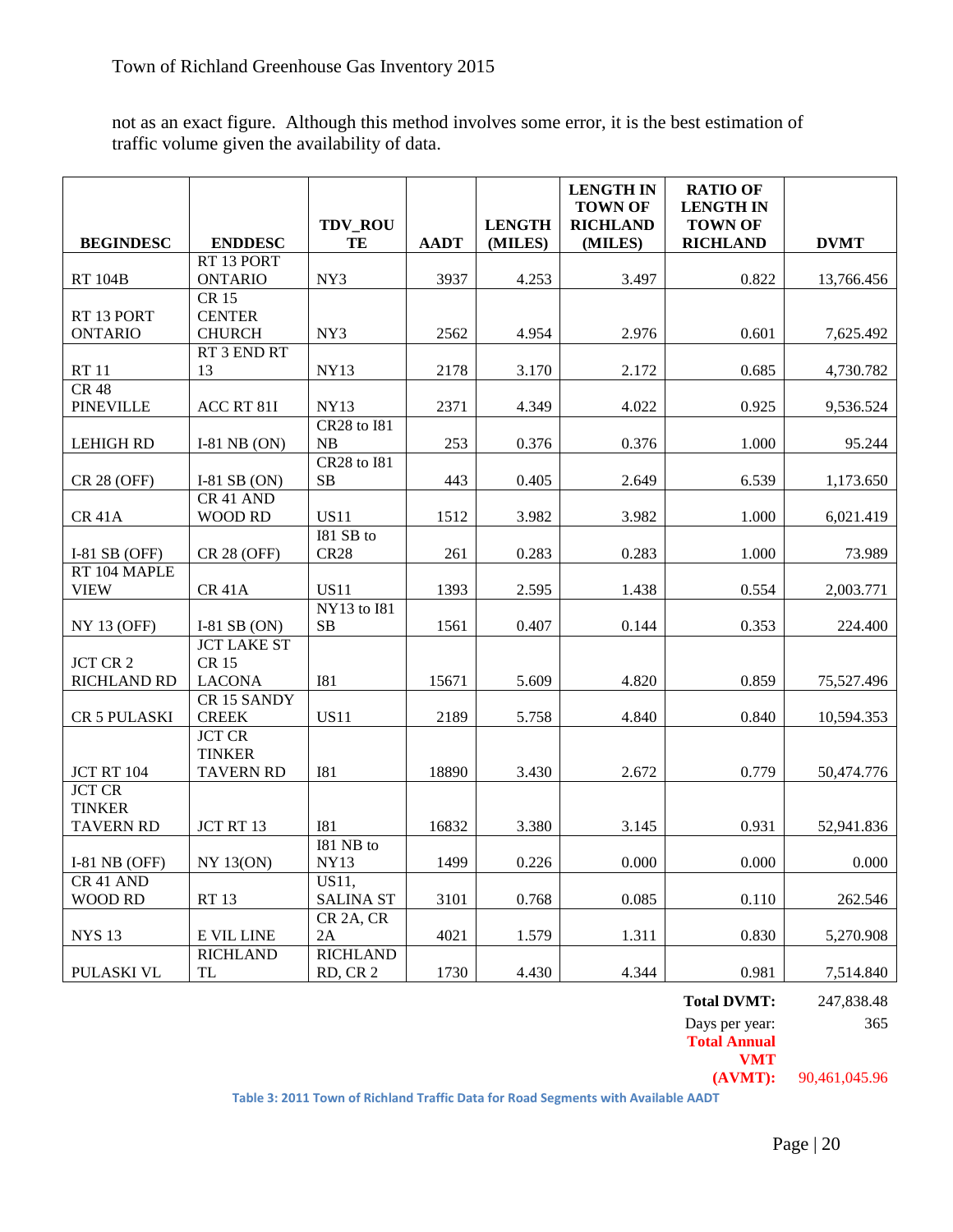not as an exact figure. Although this method involves some error, it is the best estimation of traffic volume given the availability of data.

|                                |                                      | TDV_ROU                         |             | <b>LENGTH</b> | <b>LENGTH IN</b><br><b>TOWN OF</b><br><b>RICHLAND</b> | <b>RATIO OF</b><br><b>LENGTH IN</b><br><b>TOWN OF</b> |             |
|--------------------------------|--------------------------------------|---------------------------------|-------------|---------------|-------------------------------------------------------|-------------------------------------------------------|-------------|
| <b>BEGINDESC</b>               | <b>ENDDESC</b>                       | TE                              | <b>AADT</b> | (MILES)       | (MILES)                                               | <b>RICHLAND</b>                                       | <b>DVMT</b> |
|                                | RT 13 PORT                           |                                 |             |               |                                                       |                                                       |             |
| <b>RT 104B</b>                 | <b>ONTARIO</b>                       | NY3                             | 3937        | 4.253         | 3.497                                                 | 0.822                                                 | 13,766.456  |
| RT 13 PORT                     | <b>CR15</b><br><b>CENTER</b>         |                                 |             |               |                                                       |                                                       |             |
| <b>ONTARIO</b>                 | <b>CHURCH</b>                        | NY3                             | 2562        | 4.954         | 2.976                                                 | 0.601                                                 | 7,625.492   |
|                                | RT 3 END RT                          |                                 |             |               |                                                       |                                                       |             |
| <b>RT11</b>                    | 13                                   | <b>NY13</b>                     | 2178        | 3.170         | 2.172                                                 | 0.685                                                 | 4,730.782   |
| <b>CR 48</b>                   |                                      |                                 |             |               |                                                       |                                                       |             |
| <b>PINEVILLE</b>               | ACC RT 81I                           | <b>NY13</b>                     | 2371        | 4.349         | 4.022                                                 | 0.925                                                 | 9,536.524   |
|                                |                                      | <b>CR28</b> to I81              |             |               |                                                       |                                                       |             |
| <b>LEHIGH RD</b>               | I-81 NB $(ON)$                       | NB                              | 253         | 0.376         | 0.376                                                 | 1.000                                                 | 95.244      |
| <b>CR 28 (OFF)</b>             | I-81 SB $(ON)$                       | <b>CR28</b> to 181<br><b>SB</b> | 443         | 0.405         | 2.649                                                 | 6.539                                                 | 1,173.650   |
|                                | CR 41 AND                            |                                 |             |               |                                                       |                                                       |             |
| <b>CR 41A</b>                  | <b>WOOD RD</b>                       | <b>US11</b>                     | 1512        | 3.982         | 3.982                                                 | 1.000                                                 | 6.021.419   |
|                                |                                      | I81 SB to                       |             |               |                                                       |                                                       |             |
| I-81 SB $(OFF)$                | <b>CR 28 (OFF)</b>                   | <b>CR28</b>                     | 261         | 0.283         | 0.283                                                 | 1.000                                                 | 73.989      |
| RT 104 MAPLE                   |                                      |                                 |             |               |                                                       |                                                       |             |
| <b>VIEW</b>                    | <b>CR 41A</b>                        | <b>US11</b>                     | 1393        | 2.595         | 1.438                                                 | 0.554                                                 | 2,003.771   |
|                                |                                      | NY13 to I81                     |             |               |                                                       |                                                       |             |
| <b>NY 13 (OFF)</b>             | I-81 SB $(ON)$<br><b>JCT LAKE ST</b> | $\rm SB$                        | 1561        | 0.407         | 0.144                                                 | 0.353                                                 | 224.400     |
| <b>JCT CR 2</b>                | <b>CR15</b>                          |                                 |             |               |                                                       |                                                       |             |
| <b>RICHLAND RD</b>             | <b>LACONA</b>                        | <b>I81</b>                      | 15671       | 5.609         | 4.820                                                 | 0.859                                                 | 75,527.496  |
|                                | <b>CR15 SANDY</b>                    |                                 |             |               |                                                       |                                                       |             |
| CR 5 PULASKI                   | <b>CREEK</b>                         | <b>US11</b>                     | 2189        | 5.758         | 4.840                                                 | 0.840                                                 | 10,594.353  |
|                                | <b>JCT CR</b>                        |                                 |             |               |                                                       |                                                       |             |
|                                | <b>TINKER</b>                        |                                 |             |               |                                                       |                                                       |             |
| <b>JCT RT 104</b>              | <b>TAVERN RD</b>                     | <b>I81</b>                      | 18890       | 3.430         | 2.672                                                 | 0.779                                                 | 50,474.776  |
| <b>JCT CR</b><br><b>TINKER</b> |                                      |                                 |             |               |                                                       |                                                       |             |
| <b>TAVERN RD</b>               | JCT RT 13                            | <b>I81</b>                      | 16832       | 3.380         | 3.145                                                 | 0.931                                                 | 52,941.836  |
|                                |                                      | I81 NB to                       |             |               |                                                       |                                                       |             |
| $I-81$ NB (OFF)                | <b>NY 13(ON)</b>                     | <b>NY13</b>                     | 1499        | 0.226         | 0.000                                                 | 0.000                                                 | 0.000       |
| CR 41 AND                      |                                      | US11.                           |             |               |                                                       |                                                       |             |
| <b>WOOD RD</b>                 | <b>RT13</b>                          | <b>SALINA ST</b>                | 3101        | 0.768         | 0.085                                                 | 0.110                                                 | 262.546     |
|                                |                                      | CR <sub>2</sub> A, CR           |             |               |                                                       |                                                       |             |
| <b>NYS 13</b>                  | E VIL LINE                           | 2A                              | 4021        | 1.579         | 1.311                                                 | 0.830                                                 | 5,270.908   |
| PULASKI VL                     | <b>RICHLAND</b><br><b>TL</b>         | <b>RICHLAND</b><br>RD, CR 2     | 1730        | 4.430         | 4.344                                                 | 0.981                                                 | 7,514.840   |
|                                |                                      |                                 |             |               |                                                       |                                                       |             |

| <b>Total DVMT:</b>  | 247,838.48 |
|---------------------|------------|
| Days per year:      | 365        |
| <b>Total Annual</b> |            |
|                     |            |

**VMT**<br>(AVMT): **(AVMT):** 90,461,045.96

**Table 3: 2011 Town of Richland Traffic Data for Road Segments with Available AADT**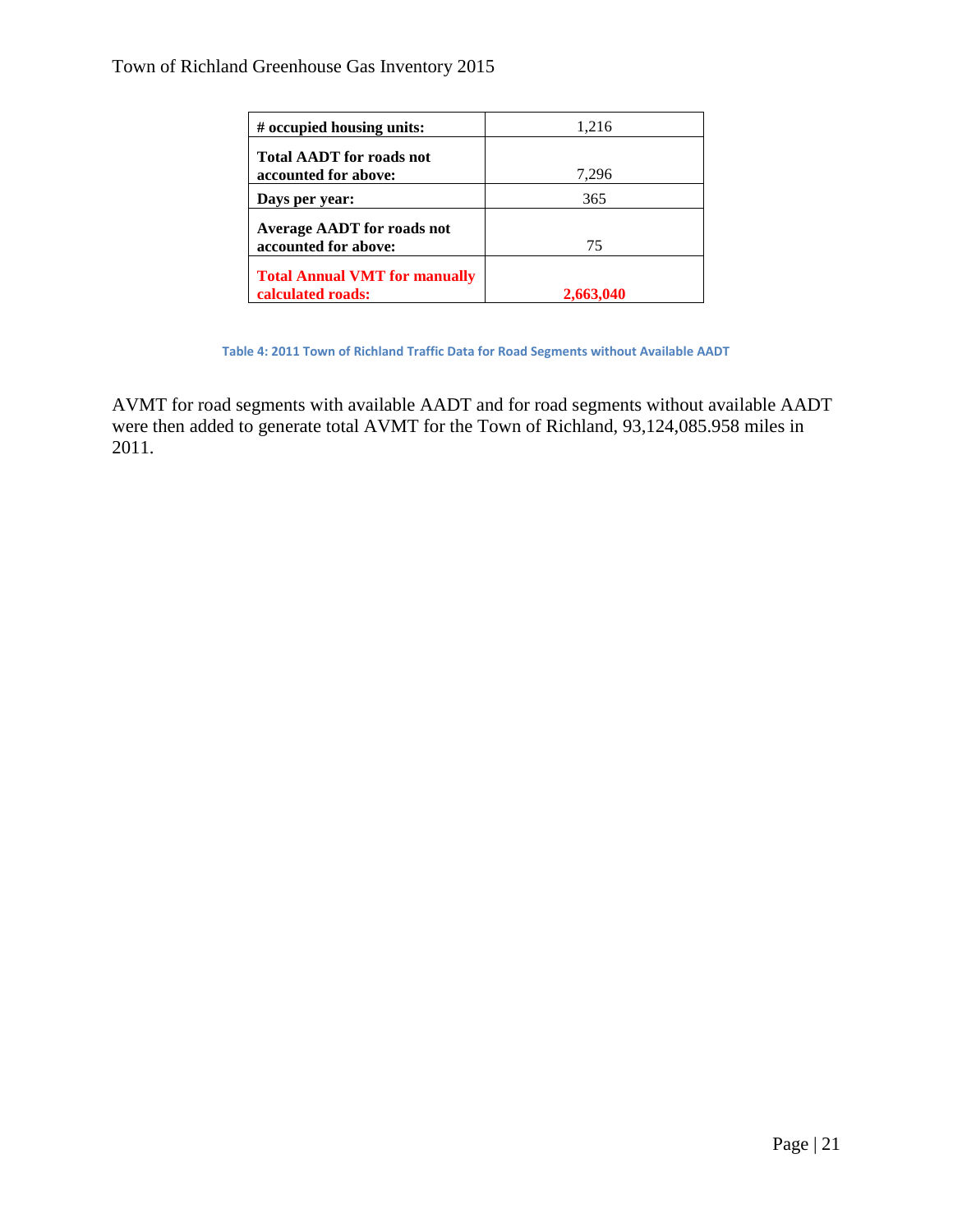| # occupied housing units:                                 | 1,216 |
|-----------------------------------------------------------|-------|
| <b>Total AADT</b> for roads not<br>accounted for above:   | 7,296 |
| Days per year:                                            | 365   |
| <b>Average AADT</b> for roads not<br>accounted for above: | 75    |
| <b>Total Annual VMT for manually</b><br>calculated roads: |       |

**Table 4: 2011 Town of Richland Traffic Data for Road Segments without Available AADT**

AVMT for road segments with available AADT and for road segments without available AADT were then added to generate total AVMT for the Town of Richland, 93,124,085.958 miles in 2011.